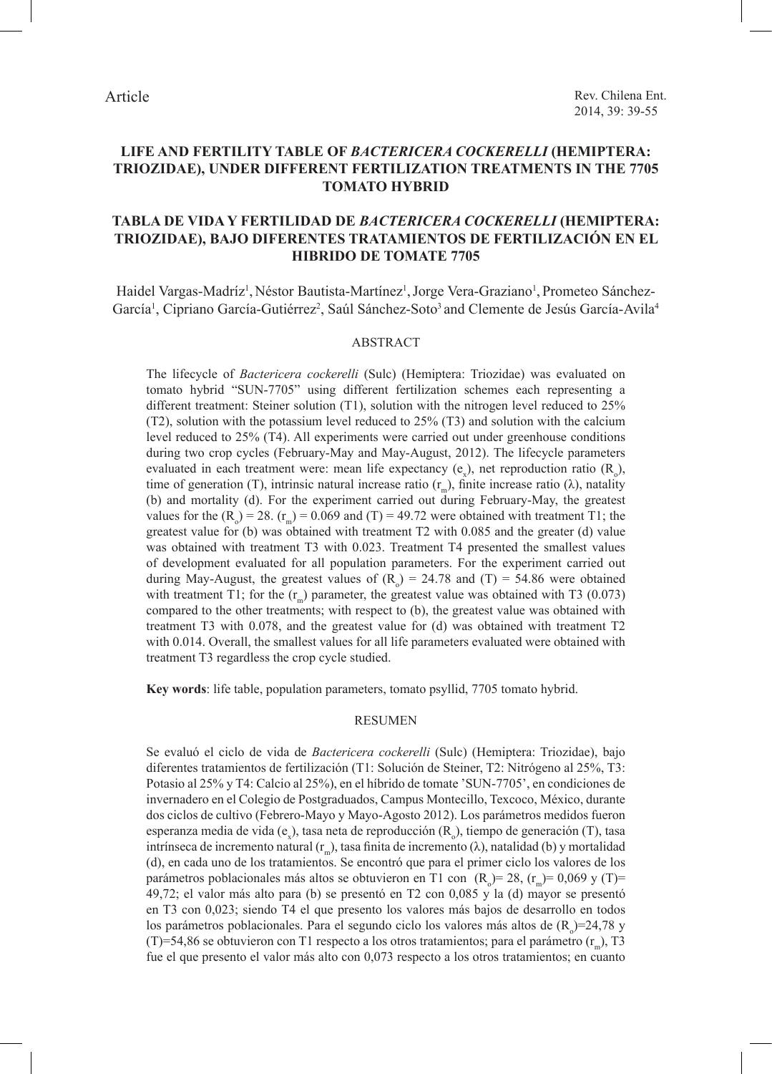# **LIFE AND FERTILITY TABLE OF** *BACTERICERA COCKERELLI* **(HEMIPTERA: TRIOZIDAE), UNDER DIFFERENT FERTILIZATION TREATMENTS IN THE 7705 TOMATO HYBRID**

# **TABLA DE VIDA Y FERTILIDAD DE** *BACTERICERA COCKERELLI* **(HEMIPTERA: TRIOZIDAE), BAJO DIFERENTES TRATAMIENTOS DE FERTILIZACIÓN EN EL HIBRIDO DE TOMATE 7705**

Haidel Vargas-Madríz<sup>1</sup>, Néstor Bautista-Martínez<sup>1</sup>, Jorge Vera-Graziano<sup>1</sup>, Prometeo Sánchez-García<sup>1</sup>, Cipriano García-Gutiérrez<sup>2</sup>, Saúl Sánchez-Soto<sup>3</sup> and Clemente de Jesús García-Avila<sup>4</sup>

### ABSTRACT

The lifecycle of *Bactericera cockerelli* (Sulc) (Hemiptera: Triozidae) was evaluated on tomato hybrid "SUN-7705" using different fertilization schemes each representing a different treatment: Steiner solution (T1), solution with the nitrogen level reduced to 25% (T2), solution with the potassium level reduced to 25% (T3) and solution with the calcium level reduced to 25% (T4). All experiments were carried out under greenhouse conditions during two crop cycles (February-May and May-August, 2012). The lifecycle parameters evaluated in each treatment were: mean life expectancy  $(e_x)$ , net reproduction ratio  $(R_0)$ , time of generation (T), intrinsic natural increase ratio  $(r_m)$ , finite increase ratio ( $\lambda$ ), natality (b) and mortality (d). For the experiment carried out during February-May, the greatest values for the  $(R_0) = 28$ .  $(r_m) = 0.069$  and  $(T) = 49.72$  were obtained with treatment T1; the greatest value for  $(b)$  was obtained with treatment T2 with 0.085 and the greater  $(d)$  value was obtained with treatment T3 with 0.023. Treatment T4 presented the smallest values of development evaluated for all population parameters. For the experiment carried out during May-August, the greatest values of  $(R_0) = 24.78$  and  $(T) = 54.86$  were obtained with treatment T1; for the  $(r_m)$  parameter, the greatest value was obtained with T3 (0.073) compared to the other treatments; with respect to (b), the greatest value was obtained with treatment T3 with 0.078, and the greatest value for (d) was obtained with treatment T2 with 0.014. Overall, the smallest values for all life parameters evaluated were obtained with treatment T3 regardless the crop cycle studied.

**Key words**: life table, population parameters, tomato psyllid, 7705 tomato hybrid.

## RESUMEN

Se evaluó el ciclo de vida de *Bactericera cockerelli* (Sulc) (Hemiptera: Triozidae), bajo diferentes tratamientos de fertilización (T1: Solución de Steiner, T2: Nitrógeno al 25%, T3: Potasio al 25% y T4: Calcio al 25%), en el híbrido de tomate 'SUN-7705', en condiciones de invernadero en el Colegio de Postgraduados, Campus Montecillo, Texcoco, México, durante dos ciclos de cultivo (Febrero-Mayo y Mayo-Agosto 2012). Los parámetros medidos fueron esperanza media de vida (e<sub>x</sub>), tasa neta de reproducción (R<sub>o</sub>), tiempo de generación (T), tasa intrínseca de incremento natural (r<sub>m</sub>), tasa finita de incremento (λ), natalidad (b) y mortalidad (d), en cada uno de los tratamientos. Se encontró que para el primer ciclo los valores de los parámetros poblacionales más altos se obtuvieron en T1 con  $(R_0) = 28$ ,  $(r_m) = 0,069$  y (T)= 49,72; el valor más alto para (b) se presentó en T2 con 0,085 y la (d) mayor se presentó en T3 con 0,023; siendo T4 el que presento los valores más bajos de desarrollo en todos los parámetros poblacionales. Para el segundo ciclo los valores más altos de  $(R_0)=24,78$  y (T)=54,86 se obtuvieron con T1 respecto a los otros tratamientos; para el parámetro  $(r_m)$ , T3 fue el que presento el valor más alto con 0,073 respecto a los otros tratamientos; en cuanto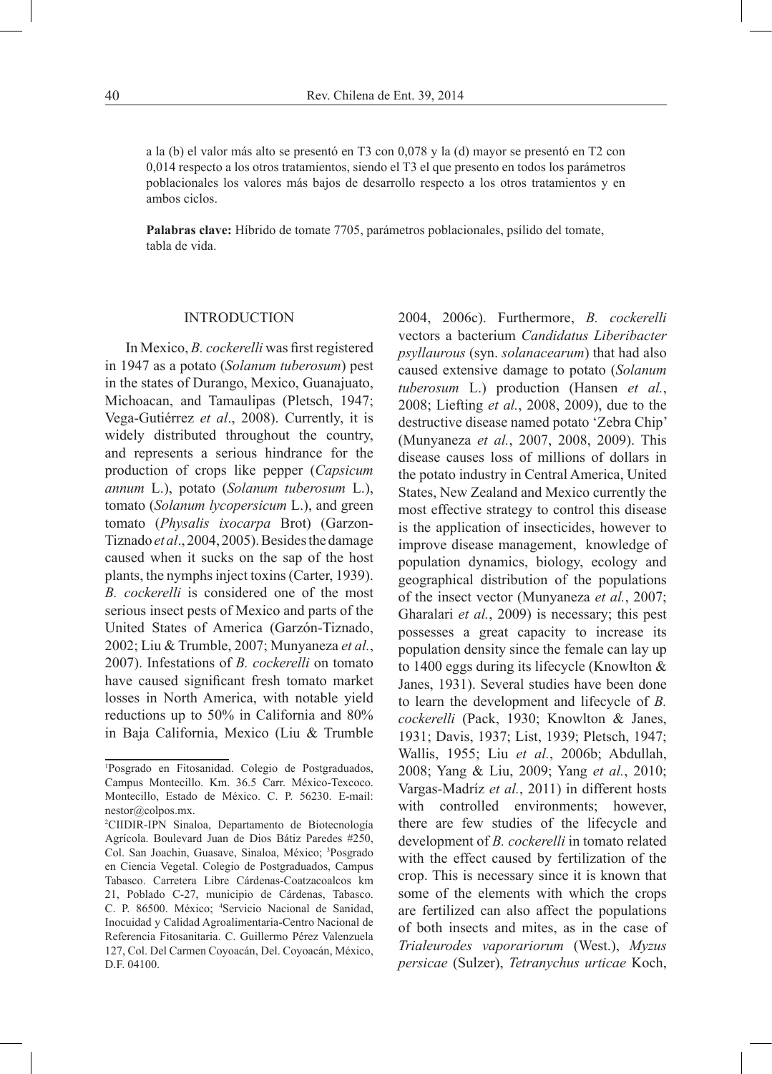a la (b) el valor más alto se presentó en T3 con 0,078 y la (d) mayor se presentó en T2 con 0,014 respecto a los otros tratamientos, siendo el T3 el que presento en todos los parámetros poblacionales los valores más bajos de desarrollo respecto a los otros tratamientos y en ambos ciclos.

**Palabras clave:** Híbrido de tomate 7705, parámetros poblacionales, psílido del tomate, tabla de vida.

#### INTRODUCTION

In Mexico, *B. cockerelli* was first registered in 1947 as a potato (*Solanum tuberosum*) pest in the states of Durango, Mexico, Guanajuato, Michoacan, and Tamaulipas (Pletsch, 1947; Vega-Gutiérrez *et al*., 2008). Currently, it is widely distributed throughout the country, and represents a serious hindrance for the production of crops like pepper (*Capsicum annum* L.), potato (*Solanum tuberosum* L.), tomato (*Solanum lycopersicum* L.), and green tomato (*Physalis ixocarpa* Brot) (Garzon-Tiznado *et al*., 2004, 2005). Besides the damage caused when it sucks on the sap of the host plants, the nymphs inject toxins (Carter, 1939). *B. cockerelli* is considered one of the most serious insect pests of Mexico and parts of the United States of America (Garzón-Tiznado, 2002; Liu & Trumble, 2007; Munyaneza *et al.*, 2007). Infestations of *B. cockerelli* on tomato have caused significant fresh tomato market losses in North America, with notable yield reductions up to 50% in California and 80% in Baja California, Mexico (Liu & Trumble

2004, 2006c). Furthermore, *B. cockerelli*  vectors a bacterium *Candidatus Liberibacter psyllaurous* (syn. *solanacearum*) that had also caused extensive damage to potato (*Solanum tuberosum* L.) production (Hansen *et al.*, 2008; Liefting *et al.*, 2008, 2009), due to the destructive disease named potato 'Zebra Chip' (Munyaneza *et al.*, 2007, 2008, 2009). This disease causes loss of millions of dollars in the potato industry in Central America, United States, New Zealand and Mexico currently the most effective strategy to control this disease is the application of insecticides, however to improve disease management, knowledge of population dynamics, biology, ecology and geographical distribution of the populations of the insect vector (Munyaneza *et al.*, 2007; Gharalari *et al.*, 2009) is necessary; this pest possesses a great capacity to increase its population density since the female can lay up to 1400 eggs during its lifecycle (Knowlton & Janes, 1931). Several studies have been done to learn the development and lifecycle of *B. cockerelli* (Pack, 1930; Knowlton & Janes, 1931; Davis, 1937; List, 1939; Pletsch, 1947; Wallis, 1955; Liu *et al.*, 2006b; Abdullah, 2008; Yang & Liu, 2009; Yang *et al.*, 2010; Vargas-Madríz *et al.*, 2011) in different hosts with controlled environments; however, there are few studies of the lifecycle and development of *B. cockerelli* in tomato related with the effect caused by fertilization of the crop. This is necessary since it is known that some of the elements with which the crops are fertilized can also affect the populations of both insects and mites, as in the case of *Trialeurodes vaporariorum* (West.), *Myzus persicae* (Sulzer), *Tetranychus urticae* Koch,

<sup>1</sup> Posgrado en Fitosanidad. Colegio de Postgraduados, Campus Montecillo. Km. 36.5 Carr. México-Texcoco. Montecillo, Estado de México. C. P. 56230. E-mail: nestor@colpos.mx.

<sup>2</sup> CIIDIR-IPN Sinaloa, Departamento de Biotecnología Agrícola. Boulevard Juan de Dios Bátiz Paredes #250, Col. San Joachin, Guasave, Sinaloa, México; 3 Posgrado en Ciencia Vegetal. Colegio de Postgraduados, Campus Tabasco. Carretera Libre Cárdenas-Coatzacoalcos km 21, Poblado C-27, municipio de Cárdenas, Tabasco. C. P. 86500. México; <sup>4</sup>Servicio Nacional de Sanidad, Inocuidad y Calidad Agroalimentaria-Centro Nacional de Referencia Fitosanitaria. C. Guillermo Pérez Valenzuela 127, Col. Del Carmen Coyoacán, Del. Coyoacán, México, D.F. 04100.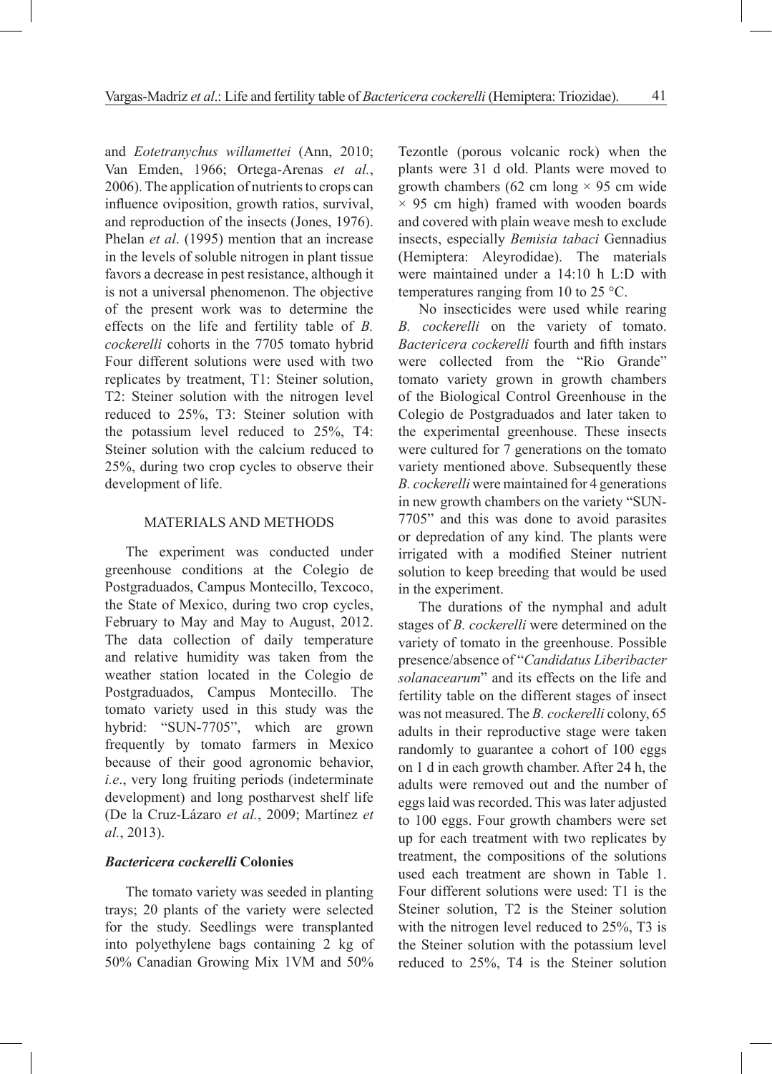and *Eotetranychus willamettei* (Ann, 2010; Van Emden, 1966; Ortega-Arenas *et al.*, 2006). The application of nutrients to crops can influence oviposition, growth ratios, survival, and reproduction of the insects (Jones, 1976). Phelan *et al*. (1995) mention that an increase in the levels of soluble nitrogen in plant tissue favors a decrease in pest resistance, although it is not a universal phenomenon. The objective of the present work was to determine the effects on the life and fertility table of *B. cockerelli* cohorts in the 7705 tomato hybrid Four different solutions were used with two replicates by treatment, T1: Steiner solution, T2: Steiner solution with the nitrogen level reduced to 25%, T3: Steiner solution with the potassium level reduced to 25%, T4: Steiner solution with the calcium reduced to 25%, during two crop cycles to observe their development of life.

### MATERIALS AND METHODS

The experiment was conducted under greenhouse conditions at the Colegio de Postgraduados, Campus Montecillo, Texcoco, the State of Mexico, during two crop cycles, February to May and May to August, 2012. The data collection of daily temperature and relative humidity was taken from the weather station located in the Colegio de Postgraduados, Campus Montecillo. The tomato variety used in this study was the hybrid: "SUN-7705", which are grown frequently by tomato farmers in Mexico because of their good agronomic behavior, *i.e*., very long fruiting periods (indeterminate development) and long postharvest shelf life (De la Cruz-Lázaro *et al.*, 2009; Martínez *et al.*, 2013).

## *Bactericera cockerelli* **Colonies**

The tomato variety was seeded in planting trays; 20 plants of the variety were selected for the study. Seedlings were transplanted into polyethylene bags containing 2 kg of 50% Canadian Growing Mix 1VM and 50% Tezontle (porous volcanic rock) when the plants were 31 d old. Plants were moved to growth chambers (62 cm long  $\times$  95 cm wide  $\times$  95 cm high) framed with wooden boards and covered with plain weave mesh to exclude insects, especially *Bemisia tabaci* Gennadius (Hemiptera: Aleyrodidae). The materials were maintained under a 14:10 h L:D with temperatures ranging from 10 to 25 °C.

No insecticides were used while rearing *B. cockerelli* on the variety of tomato. *Bactericera cockerelli* fourth and fifth instars were collected from the "Rio Grande" tomato variety grown in growth chambers of the Biological Control Greenhouse in the Colegio de Postgraduados and later taken to the experimental greenhouse. These insects were cultured for 7 generations on the tomato variety mentioned above. Subsequently these *B. cockerelli* were maintained for 4 generations in new growth chambers on the variety "SUN-7705" and this was done to avoid parasites or depredation of any kind. The plants were irrigated with a modified Steiner nutrient solution to keep breeding that would be used in the experiment.

The durations of the nymphal and adult stages of *B. cockerelli* were determined on the variety of tomato in the greenhouse. Possible presence/absence of "*Candidatus Liberibacter solanacearum*" and its effects on the life and fertility table on the different stages of insect was not measured. The *B. cockerelli* colony, 65 adults in their reproductive stage were taken randomly to guarantee a cohort of 100 eggs on 1 d in each growth chamber. After 24 h, the adults were removed out and the number of eggs laid was recorded. This was later adjusted to 100 eggs. Four growth chambers were set up for each treatment with two replicates by treatment, the compositions of the solutions used each treatment are shown in Table 1. Four different solutions were used: T1 is the Steiner solution, T2 is the Steiner solution with the nitrogen level reduced to 25%, T3 is the Steiner solution with the potassium level reduced to 25%, T4 is the Steiner solution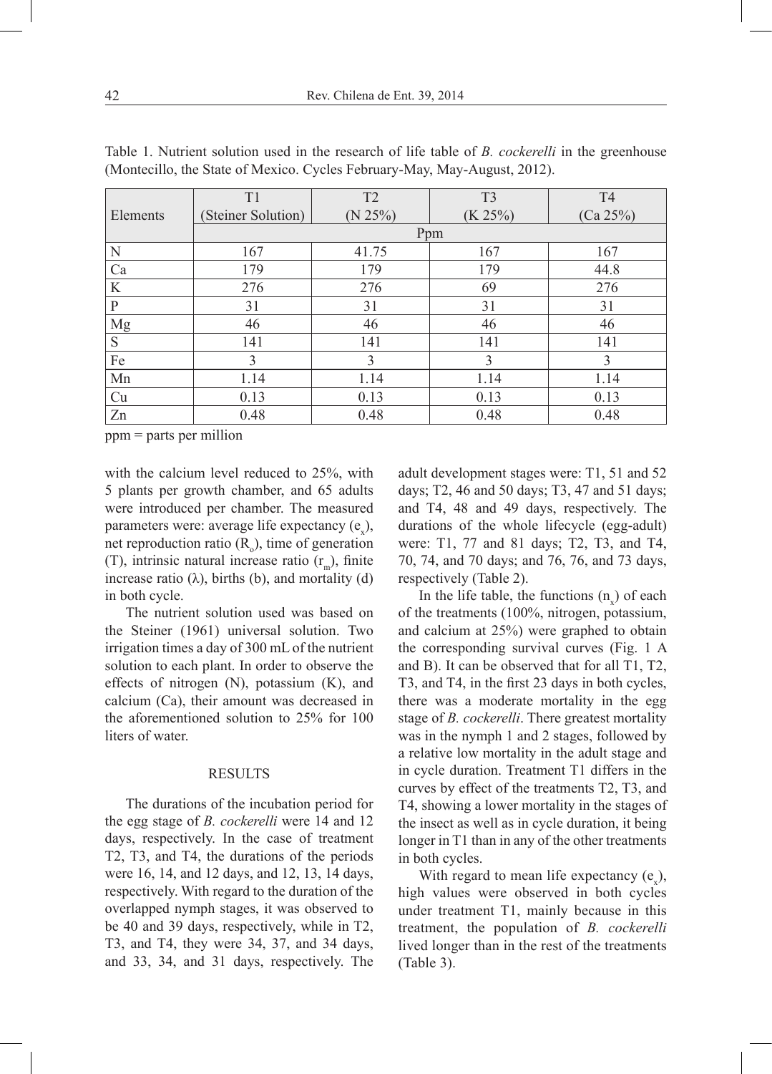|          | T1                 | T <sub>2</sub> | T <sub>3</sub> | T <sub>4</sub> |  |  |  |  |  |  |
|----------|--------------------|----------------|----------------|----------------|--|--|--|--|--|--|
| Elements | (Steiner Solution) | $(N 25\%)$     | $(K 25\%)$     | (Ca 25%)       |  |  |  |  |  |  |
|          | Ppm                |                |                |                |  |  |  |  |  |  |
| N        | 167                | 41.75          | 167            | 167            |  |  |  |  |  |  |
| Ca       | 179                | 179            | 179            | 44.8           |  |  |  |  |  |  |
| K        | 276                | 276            | 69             | 276            |  |  |  |  |  |  |
| P        | 31                 | 31             | 31             | 31             |  |  |  |  |  |  |
| Mg       | 46                 | 46             | 46             | 46             |  |  |  |  |  |  |
| S        | 141                | 141            | 141            | 141            |  |  |  |  |  |  |
| Fe       | 3                  | 3              | 3              | 3              |  |  |  |  |  |  |
| Mn       | 1.14               | 1.14           | 1.14           | 1.14           |  |  |  |  |  |  |
| Cu       | 0.13               | 0.13           | 0.13           | 0.13           |  |  |  |  |  |  |
| Zn       | 0.48               | 0.48           | 0.48           | 0.48           |  |  |  |  |  |  |

Table 1. Nutrient solution used in the research of life table of *B. cockerelli* in the greenhouse (Montecillo, the State of Mexico. Cycles February-May, May-August, 2012).

ppm = parts per million

with the calcium level reduced to 25%, with 5 plants per growth chamber, and 65 adults were introduced per chamber. The measured parameters were: average life expectancy  $(e_x)$ , net reproduction ratio  $(R_0)$ , time of generation (T), intrinsic natural increase ratio  $(r_m)$ , finite increase ratio  $(\lambda)$ , births  $(b)$ , and mortality  $(d)$ in both cycle.

The nutrient solution used was based on the Steiner (1961) universal solution. Two irrigation times a day of 300 mL of the nutrient solution to each plant. In order to observe the effects of nitrogen (N), potassium (K), and calcium (Ca), their amount was decreased in the aforementioned solution to 25% for 100 liters of water.

#### **RESULTS**

The durations of the incubation period for the egg stage of *B. cockerelli* were 14 and 12 days, respectively. In the case of treatment T2, T3, and T4, the durations of the periods were 16, 14, and 12 days, and 12, 13, 14 days, respectively. With regard to the duration of the overlapped nymph stages, it was observed to be 40 and 39 days, respectively, while in T2, T3, and T4, they were 34, 37, and 34 days, and 33, 34, and 31 days, respectively. The adult development stages were: T1, 51 and 52 days; T2, 46 and 50 days; T3, 47 and 51 days; and T4, 48 and 49 days, respectively. The durations of the whole lifecycle (egg-adult) were: T1, 77 and 81 days; T2, T3, and T4, 70, 74, and 70 days; and 76, 76, and 73 days, respectively (Table 2).

In the life table, the functions  $(n_x)$  of each of the treatments (100%, nitrogen, potassium, and calcium at 25%) were graphed to obtain the corresponding survival curves (Fig. 1 A and B). It can be observed that for all T1, T2, T3, and T4, in the first 23 days in both cycles, there was a moderate mortality in the egg stage of *B. cockerelli*. There greatest mortality was in the nymph 1 and 2 stages, followed by a relative low mortality in the adult stage and in cycle duration. Treatment T1 differs in the curves by effect of the treatments T2, T3, and T4, showing a lower mortality in the stages of the insect as well as in cycle duration, it being longer in T1 than in any of the other treatments in both cycles.

With regard to mean life expectancy  $(e_x)$ , high values were observed in both cycles under treatment T1, mainly because in this treatment, the population of *B. cockerelli* lived longer than in the rest of the treatments (Table 3).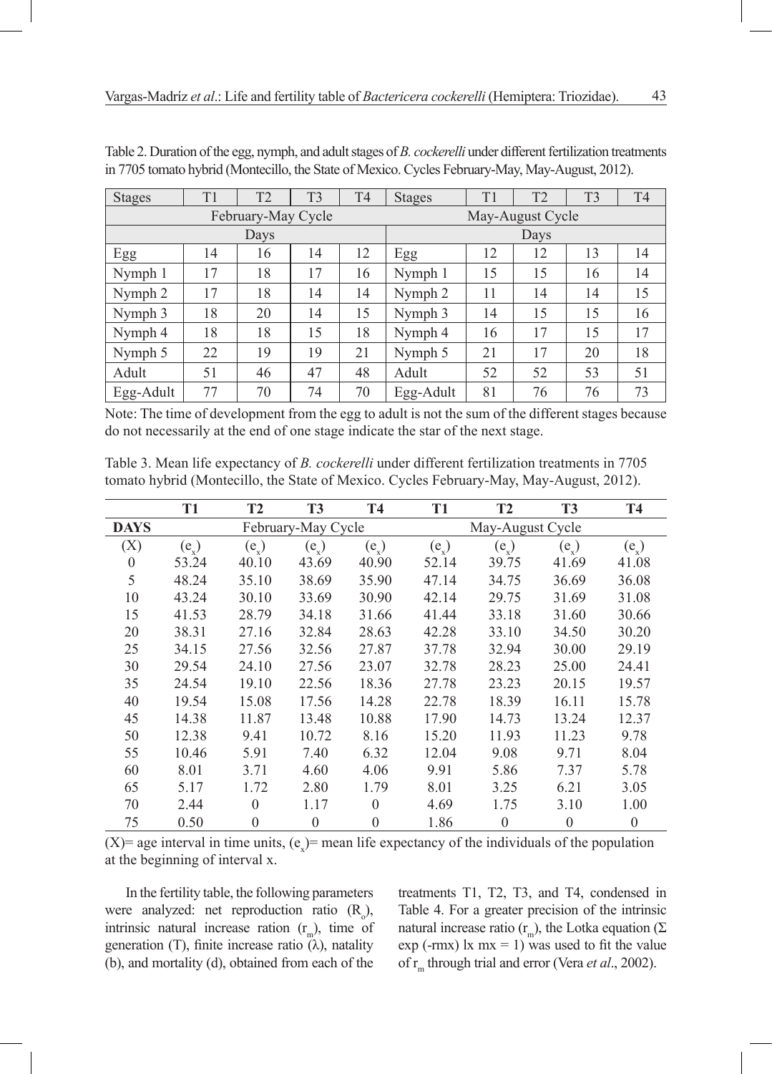| <b>Stages</b> | T1 | T <sub>2</sub>     | T <sub>3</sub> | T <sub>4</sub>   | <b>Stages</b> | T1 | T <sub>2</sub> | T <sub>3</sub> | T <sub>4</sub> |
|---------------|----|--------------------|----------------|------------------|---------------|----|----------------|----------------|----------------|
|               |    | February-May Cycle |                | May-August Cycle |               |    |                |                |                |
| Days          |    |                    |                |                  | Days          |    |                |                |                |
| Egg           | 14 | 16                 | 14             | 12               | Egg           | 12 | 12             | 13             | 14             |
| Nymph 1       | 17 | 18                 | 17             | 16               | Nymph 1       | 15 | 15             | 16             | 14             |
| Nymph 2       | 17 | 18                 | 14             | 14               | Nymph 2       | 11 | 14             | 14             | 15             |
| Nymph 3       | 18 | 20                 | 14             | 15               | Nymph 3       | 14 | 15             | 15             | 16             |
| Nymph 4       | 18 | 18                 | 15             | 18               | Nymph 4       | 16 | 17             | 15             | 17             |
| Nymph 5       | 22 | 19                 | 19             | 21               | Nymph 5       | 21 | 17             | 20             | 18             |
| Adult         | 51 | 46                 | 47             | 48               | Adult         | 52 | 52             | 53             | 51             |
| Egg-Adult     | 77 | 70                 | 74             | 70               | Egg-Adult     | 81 | 76             | 76             | 73             |

Table 2. Duration of the egg, nymph, and adult stages of *B. cockerelli* under different fertilization treatments in 7705 tomato hybrid (Montecillo, the State of Mexico. Cycles February-May, May-August, 2012).

Note: The time of development from the egg to adult is not the sum of the different stages because do not necessarily at the end of one stage indicate the star of the next stage.

Table 3. Mean life expectancy of *B. cockerelli* under different fertilization treatments in 7705 tomato hybrid (Montecillo, the State of Mexico. Cycles February-May, May-August, 2012).

|             | T1      | T2        | <b>T3</b>          | <b>T4</b>          | T <sub>1</sub> | <b>T2</b>        | <b>T3</b>      | <b>T4</b>          |  |
|-------------|---------|-----------|--------------------|--------------------|----------------|------------------|----------------|--------------------|--|
| <b>DAYS</b> |         |           | February-May Cycle |                    |                | May-August Cycle |                |                    |  |
| (X)         | $(e_x)$ | $(e_{x})$ | $(e_x)$            | $(e_{\mathbf{x}})$ | $(e_x)$        | $(e_x)$          | $(e_{\gamma})$ | $(e_{\mathbf{y}})$ |  |
| $\theta$    | 53.24   | 40.10     | 43.69              | 40.90              | 52.14          | 39.75            | 41.69          | 41.08              |  |
| 5           | 48.24   | 35.10     | 38.69              | 35.90              | 47.14          | 34.75            | 36.69          | 36.08              |  |
| 10          | 43.24   | 30.10     | 33.69              | 30.90              | 42.14          | 29.75            | 31.69          | 31.08              |  |
| 15          | 41.53   | 28.79     | 34.18              | 31.66              | 41.44          | 33.18            | 31.60          | 30.66              |  |
| 20          | 38.31   | 27.16     | 32.84              | 28.63              | 42.28          | 33.10            | 34.50          | 30.20              |  |
| 25          | 34.15   | 27.56     | 32.56              | 27.87              | 37.78          | 32.94            | 30.00          | 29.19              |  |
| 30          | 29.54   | 24.10     | 27.56              | 23.07              | 32.78          | 28.23            | 25.00          | 24.41              |  |
| 35          | 24.54   | 19.10     | 22.56              | 18.36              | 27.78          | 23.23            | 20.15          | 19.57              |  |
| 40          | 19.54   | 15.08     | 17.56              | 14.28              | 22.78          | 18.39            | 16.11          | 15.78              |  |
| 45          | 14.38   | 11.87     | 13.48              | 10.88              | 17.90          | 14.73            | 13.24          | 12.37              |  |
| 50          | 12.38   | 9.41      | 10.72              | 8.16               | 15.20          | 11.93            | 11.23          | 9.78               |  |
| 55          | 10.46   | 5.91      | 7.40               | 6.32               | 12.04          | 9.08             | 9.71           | 8.04               |  |
| 60          | 8.01    | 3.71      | 4.60               | 4.06               | 9.91           | 5.86             | 7.37           | 5.78               |  |
| 65          | 5.17    | 1.72      | 2.80               | 1.79               | 8.01           | 3.25             | 6.21           | 3.05               |  |
| 70          | 2.44    | $\Omega$  | 1.17               | $\Omega$           | 4.69           | 1.75             | 3.10           | 1.00               |  |
| 75          | 0.50    | $\Omega$  | $\mathbf{0}$       | $\theta$           | 1.86           | $\theta$         | $\theta$       | $\theta$           |  |

(X)= age interval in time units,  $(e_x)$ = mean life expectancy of the individuals of the population at the beginning of interval x.

In the fertility table, the following parameters were analyzed: net reproduction ratio  $(R_0)$ , intrinsic natural increase ration  $(r_m)$ , time of generation (T), finite increase ratio  $(\lambda)$ , natality (b), and mortality (d), obtained from each of the

treatments T1, T2, T3, and T4, condensed in Table 4. For a greater precision of the intrinsic natural increase ratio (r<sub>m</sub>), the Lotka equation (Σ  $exp(-rmx)$  lx  $mx = 1$ ) was used to fit the value of r<sub>m</sub> through trial and error (Vera *et al.*, 2002).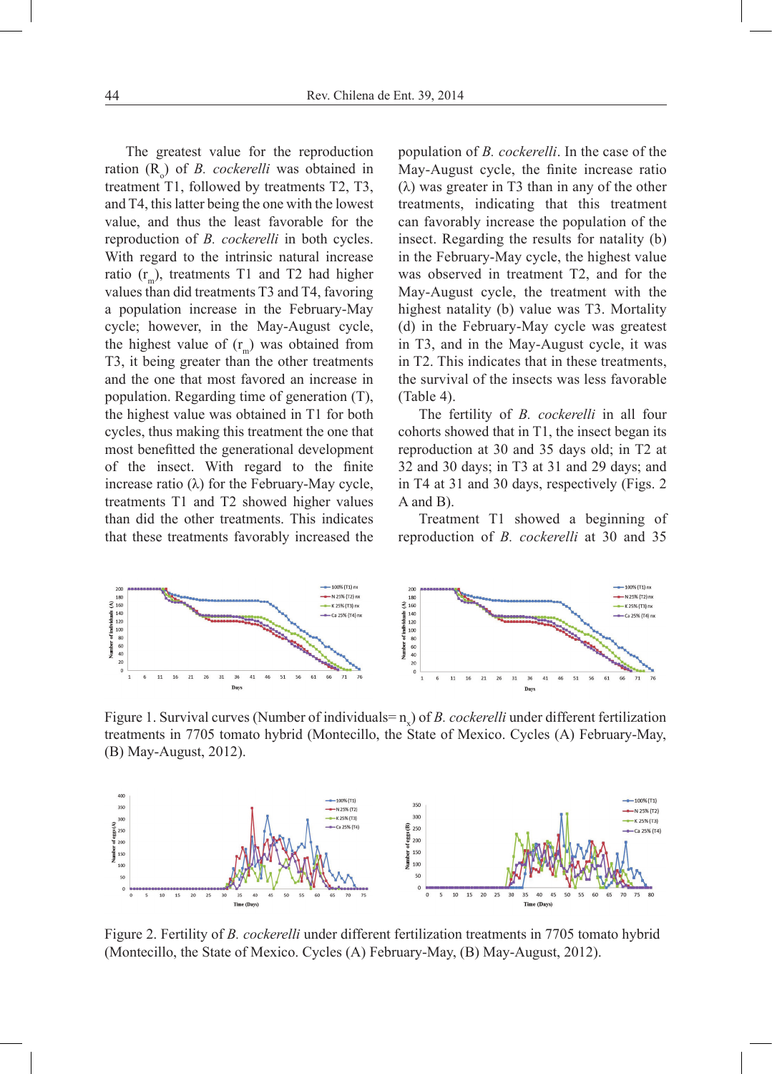The greatest value for the reproduction ration (R<sub>o</sub>) of *B. cockerelli* was obtained in treatment T1, followed by treatments T2, T3, and T4, this latter being the one with the lowest value, and thus the least favorable for the reproduction of *B. cockerelli* in both cycles. With regard to the intrinsic natural increase ratio  $(r)$ , treatments T1 and T2 had higher values than did treatments T3 and T4, favoring a population increase in the February-May cycle; however, in the May-August cycle, the highest value of  $(r<sub>m</sub>)$  was obtained from T3, it being greater than the other treatments and the one that most favored an increase in population. Regarding time of generation (T), the highest value was obtained in T1 for both cycles, thus making this treatment the one that most benefitted the generational development of the insect. With regard to the finite increase ratio  $(\lambda)$  for the February-May cycle, treatments T1 and T2 showed higher values than did the other treatments. This indicates that these treatments favorably increased the

population of *B. cockerelli*. In the case of the May-August cycle, the finite increase ratio  $(λ)$  was greater in T3 than in any of the other treatments, indicating that this treatment can favorably increase the population of the insect. Regarding the results for natality (b) in the February-May cycle, the highest value was observed in treatment T2, and for the May-August cycle, the treatment with the highest natality (b) value was T3. Mortality (d) in the February-May cycle was greatest in T3, and in the May-August cycle, it was in T2. This indicates that in these treatments, the survival of the insects was less favorable (Table 4).

The fertility of *B. cockerelli* in all four cohorts showed that in T1, the insect began its reproduction at 30 and 35 days old; in T2 at 32 and 30 days; in T3 at 31 and 29 days; and in T4 at 31 and 30 days, respectively (Figs. 2 A and B).

Treatment T1 showed a beginning of reproduction of *B. cockerelli* at 30 and 35



Figure 1. Survival curves (Number of individuals= $n<sub>x</sub>$ ) of *B. cockerelli* under different fertilization treatments in 7705 tomato hybrid (Montecillo, the State of Mexico. Cycles (A) February-May, (B) May-August, 2012).



Figure 2. Fertility of *B. cockerelli* under different fertilization treatments in 7705 tomato hybrid (Montecillo, the State of Mexico. Cycles (A) February-May, (B) May-August, 2012).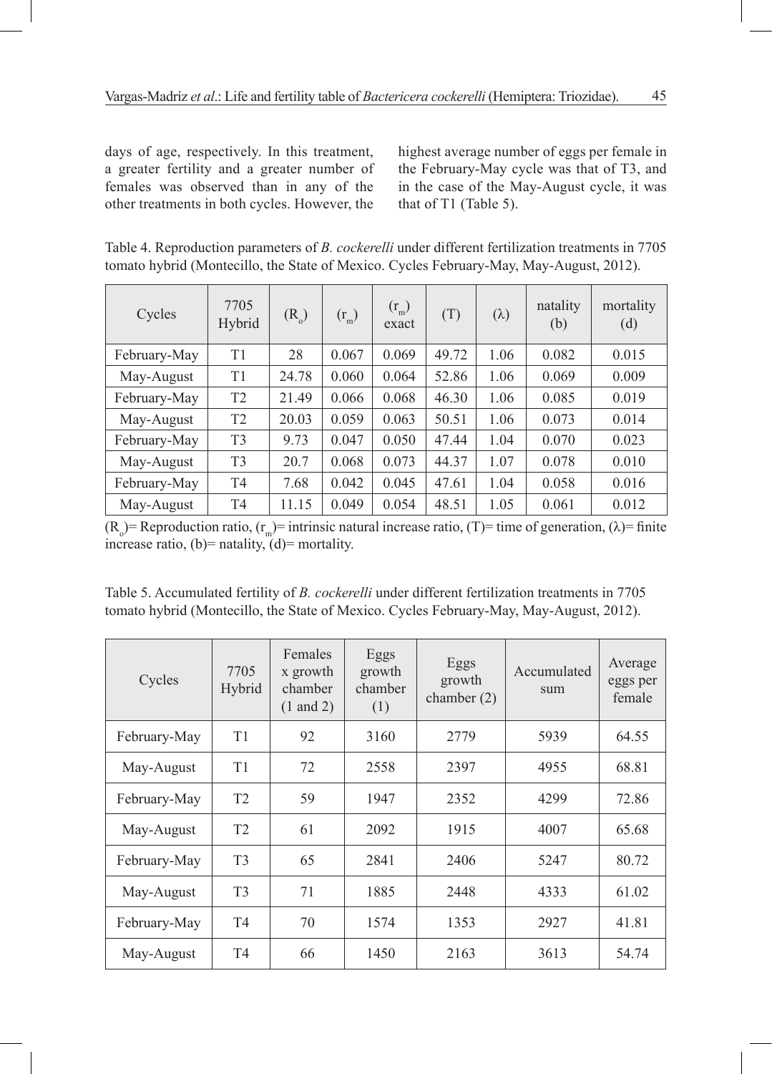days of age, respectively. In this treatment, a greater fertility and a greater number of females was observed than in any of the other treatments in both cycles. However, the

highest average number of eggs per female in the February-May cycle was that of T3, and in the case of the May-August cycle, it was that of T1 (Table 5).

Table 4. Reproduction parameters of *B. cockerelli* under different fertilization treatments in 7705 tomato hybrid (Montecillo, the State of Mexico. Cycles February-May, May-August, 2012).

| Cycles       | 7705<br>Hybrid | $(R_0)$ | $(r_m)$ | $(r_m)$<br>exact | (T)   | $(\lambda)$ | natality<br>(b) | mortality<br>(d) |
|--------------|----------------|---------|---------|------------------|-------|-------------|-----------------|------------------|
| February-May | T1             | 28      | 0.067   | 0.069            | 49.72 | 1.06        | 0.082           | 0.015            |
| May-August   | T1             | 24.78   | 0.060   | 0.064            | 52.86 | 1.06        | 0.069           | 0.009            |
| February-May | T <sub>2</sub> | 21.49   | 0.066   | 0.068            | 46.30 | 1.06        | 0.085           | 0.019            |
| May-August   | T <sub>2</sub> | 20.03   | 0.059   | 0.063            | 50.51 | 1.06        | 0.073           | 0.014            |
| February-May | T <sub>3</sub> | 9.73    | 0.047   | 0.050            | 47.44 | 1.04        | 0.070           | 0.023            |
| May-August   | T <sub>3</sub> | 20.7    | 0.068   | 0.073            | 44.37 | 1.07        | 0.078           | 0.010            |
| February-May | T <sub>4</sub> | 7.68    | 0.042   | 0.045            | 47.61 | 1.04        | 0.058           | 0.016            |
| May-August   | T <sub>4</sub> | 11.15   | 0.049   | 0.054            | 48.51 | 1.05        | 0.061           | 0.012            |

 $(R_0)$  = Reproduction ratio,  $(r_m)$  = intrinsic natural increase ratio,  $(T)$  = time of generation,  $(\lambda)$  = finite increase ratio, (b)= natality,  $\ddot{d}$ )= mortality.

Table 5. Accumulated fertility of *B. cockerelli* under different fertilization treatments in 7705 tomato hybrid (Montecillo, the State of Mexico. Cycles February-May, May-August, 2012).

| Cycles       | 7705<br>Hybrid | Females<br>x growth<br>chamber<br>$(1 \text{ and } 2)$ | Eggs<br>growth<br>chamber<br>(1) | Eggs<br>growth<br>chamber $(2)$ | Accumulated<br>sum | Average<br>eggs per<br>female |
|--------------|----------------|--------------------------------------------------------|----------------------------------|---------------------------------|--------------------|-------------------------------|
| February-May | T1             | 92                                                     | 3160                             | 2779                            | 5939               | 64.55                         |
| May-August   | T1             | 72                                                     | 2558                             | 2397                            | 4955               | 68.81                         |
| February-May | T <sub>2</sub> | 59                                                     | 1947                             | 2352                            | 4299               | 72.86                         |
| May-August   | T <sub>2</sub> | 61                                                     | 2092                             | 1915                            | 4007               | 65.68                         |
| February-May | T <sub>3</sub> | 65                                                     | 2841                             | 2406                            | 5247               | 80.72                         |
| May-August   | T <sub>3</sub> | 71                                                     | 1885                             | 2448                            | 4333               | 61.02                         |
| February-May | T4             | 70                                                     | 1574                             | 1353                            | 2927               | 41.81                         |
| May-August   | T4             | 66                                                     | 1450                             | 2163                            | 3613               | 54.74                         |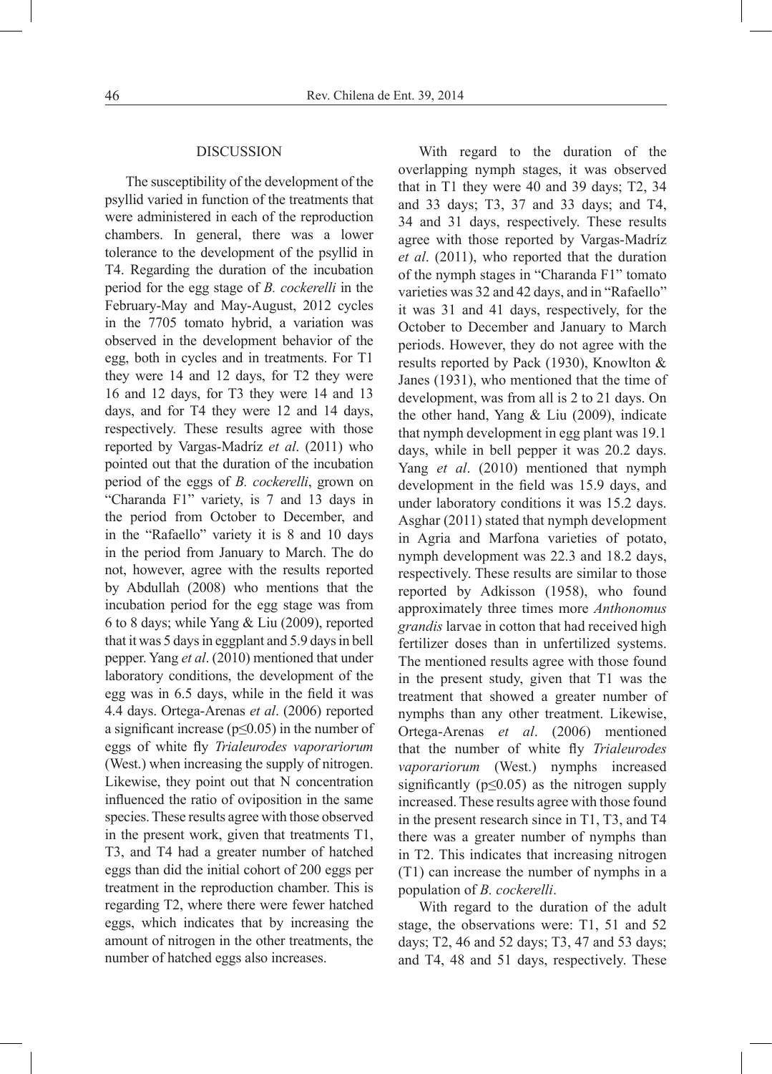#### DISCUSSION

The susceptibility of the development of the psyllid varied in function of the treatments that were administered in each of the reproduction chambers. In general, there was a lower tolerance to the development of the psyllid in T4. Regarding the duration of the incubation period for the egg stage of *B. cockerelli* in the February-May and May-August, 2012 cycles in the 7705 tomato hybrid, a variation was observed in the development behavior of the egg, both in cycles and in treatments. For T1 they were 14 and 12 days, for T2 they were 16 and 12 days, for T3 they were 14 and 13 days, and for T4 they were 12 and 14 days, respectively. These results agree with those reported by Vargas-Madríz *et al*. (2011) who pointed out that the duration of the incubation period of the eggs of *B. cockerelli*, grown on "Charanda F1" variety, is 7 and 13 days in the period from October to December, and in the "Rafaello" variety it is 8 and 10 days in the period from January to March. The do not, however, agree with the results reported by Abdullah (2008) who mentions that the incubation period for the egg stage was from 6 to 8 days; while Yang & Liu (2009), reported that it was 5 days in eggplant and 5.9 days in bell pepper. Yang *et al*. (2010) mentioned that under laboratory conditions, the development of the egg was in 6.5 days, while in the field it was 4.4 days. Ortega-Arenas *et al*. (2006) reported a significant increase ( $p \le 0.05$ ) in the number of eggs of white fly *Trialeurodes vaporariorum*  (West.) when increasing the supply of nitrogen. Likewise, they point out that N concentration influenced the ratio of oviposition in the same species. These results agree with those observed in the present work, given that treatments T1, T3, and T4 had a greater number of hatched eggs than did the initial cohort of 200 eggs per treatment in the reproduction chamber. This is regarding T2, where there were fewer hatched eggs, which indicates that by increasing the amount of nitrogen in the other treatments, the number of hatched eggs also increases.

With regard to the duration of the overlapping nymph stages, it was observed that in T1 they were 40 and 39 days; T2, 34 and 33 days; T3, 37 and 33 days; and T4, 34 and 31 days, respectively. These results agree with those reported by Vargas-Madríz *et al*. (2011), who reported that the duration of the nymph stages in "Charanda F1" tomato varieties was 32 and 42 days, and in "Rafaello" it was 31 and 41 days, respectively, for the October to December and January to March periods. However, they do not agree with the results reported by Pack (1930), Knowlton & Janes (1931), who mentioned that the time of development, was from all is 2 to 21 days. On the other hand, Yang  $& Liu (2009)$ , indicate that nymph development in egg plant was 19.1 days, while in bell pepper it was 20.2 days. Yang *et al*. (2010) mentioned that nymph development in the field was 15.9 days, and under laboratory conditions it was 15.2 days. Asghar (2011) stated that nymph development in Agria and Marfona varieties of potato, nymph development was 22.3 and 18.2 days, respectively. These results are similar to those reported by Adkisson (1958), who found approximately three times more *Anthonomus grandis* larvae in cotton that had received high fertilizer doses than in unfertilized systems. The mentioned results agree with those found in the present study, given that T1 was the treatment that showed a greater number of nymphs than any other treatment. Likewise, Ortega-Arenas *et al*. (2006) mentioned that the number of white fly *Trialeurodes vaporariorum* (West.) nymphs increased significantly ( $p \leq 0.05$ ) as the nitrogen supply increased. These results agree with those found in the present research since in T1, T3, and T4 there was a greater number of nymphs than in T2. This indicates that increasing nitrogen (T1) can increase the number of nymphs in a population of *B. cockerelli*.

With regard to the duration of the adult stage, the observations were: T1, 51 and 52 days; T2, 46 and 52 days; T3, 47 and 53 days; and T4, 48 and 51 days, respectively. These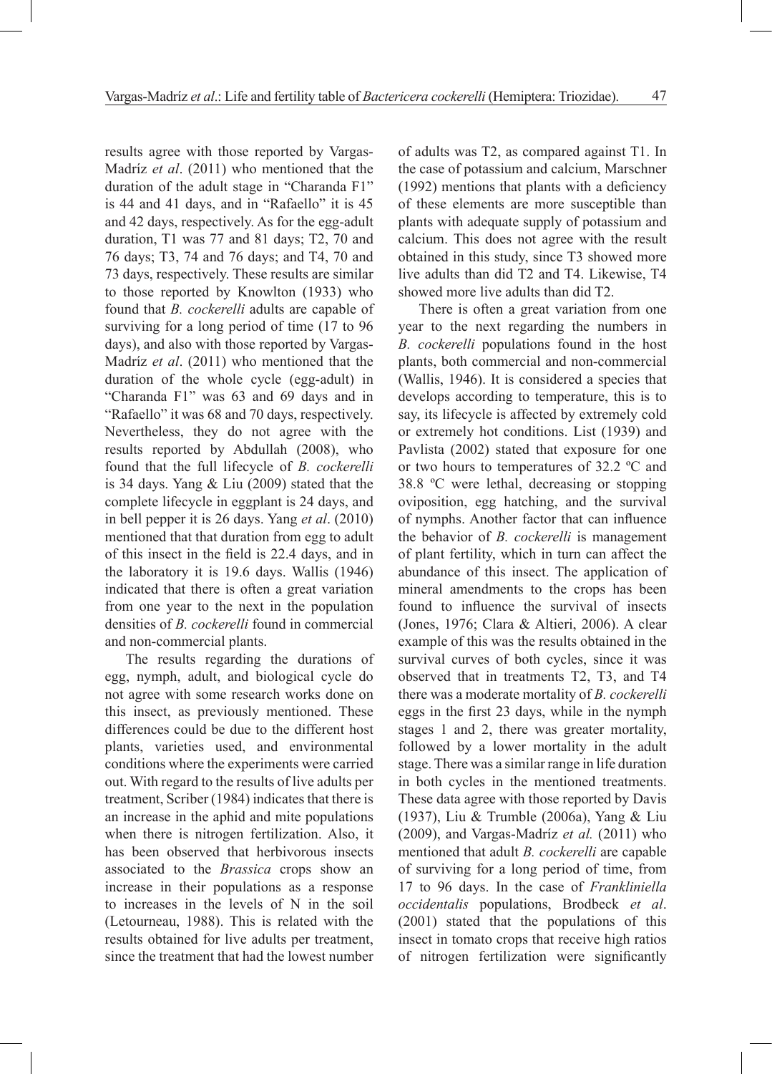results agree with those reported by Vargas-Madríz *et al*. (2011) who mentioned that the duration of the adult stage in "Charanda F1" is 44 and 41 days, and in "Rafaello" it is 45 and 42 days, respectively. As for the egg-adult duration, T1 was 77 and 81 days; T2, 70 and 76 days; T3, 74 and 76 days; and T4, 70 and 73 days, respectively. These results are similar to those reported by Knowlton (1933) who found that *B. cockerelli* adults are capable of surviving for a long period of time (17 to 96 days), and also with those reported by Vargas-Madríz *et al*. (2011) who mentioned that the duration of the whole cycle (egg-adult) in "Charanda F1" was 63 and 69 days and in "Rafaello" it was 68 and 70 days, respectively. Nevertheless, they do not agree with the results reported by Abdullah (2008), who found that the full lifecycle of *B. cockerelli* is 34 days. Yang & Liu (2009) stated that the complete lifecycle in eggplant is 24 days, and in bell pepper it is 26 days. Yang *et al*. (2010) mentioned that that duration from egg to adult of this insect in the field is 22.4 days, and in the laboratory it is 19.6 days. Wallis (1946) indicated that there is often a great variation from one year to the next in the population densities of *B. cockerelli* found in commercial and non-commercial plants.

The results regarding the durations of egg, nymph, adult, and biological cycle do not agree with some research works done on this insect, as previously mentioned. These differences could be due to the different host plants, varieties used, and environmental conditions where the experiments were carried out. With regard to the results of live adults per treatment, Scriber (1984) indicates that there is an increase in the aphid and mite populations when there is nitrogen fertilization. Also, it has been observed that herbivorous insects associated to the *Brassica* crops show an increase in their populations as a response to increases in the levels of N in the soil (Letourneau, 1988). This is related with the results obtained for live adults per treatment, since the treatment that had the lowest number

of adults was T2, as compared against T1. In the case of potassium and calcium, Marschner (1992) mentions that plants with a deficiency of these elements are more susceptible than plants with adequate supply of potassium and calcium. This does not agree with the result obtained in this study, since T3 showed more live adults than did T2 and T4. Likewise, T4 showed more live adults than did T2.

There is often a great variation from one year to the next regarding the numbers in *B. cockerelli* populations found in the host plants, both commercial and non-commercial (Wallis, 1946). It is considered a species that develops according to temperature, this is to say, its lifecycle is affected by extremely cold or extremely hot conditions. List (1939) and Pavlista (2002) stated that exposure for one or two hours to temperatures of 32.2 ºC and 38.8 ºC were lethal, decreasing or stopping oviposition, egg hatching, and the survival of nymphs. Another factor that can influence the behavior of *B. cockerelli* is management of plant fertility, which in turn can affect the abundance of this insect. The application of mineral amendments to the crops has been found to influence the survival of insects (Jones, 1976; Clara & Altieri, 2006). A clear example of this was the results obtained in the survival curves of both cycles, since it was observed that in treatments T2, T3, and T4 there was a moderate mortality of *B. cockerelli* eggs in the first 23 days, while in the nymph stages 1 and 2, there was greater mortality, followed by a lower mortality in the adult stage. There was a similar range in life duration in both cycles in the mentioned treatments. These data agree with those reported by Davis (1937), Liu & Trumble (2006a), Yang & Liu (2009), and Vargas-Madríz *et al.* (2011) who mentioned that adult *B. cockerelli* are capable of surviving for a long period of time, from 17 to 96 days. In the case of *Frankliniella occidentalis* populations, Brodbeck *et al*. (2001) stated that the populations of this insect in tomato crops that receive high ratios of nitrogen fertilization were significantly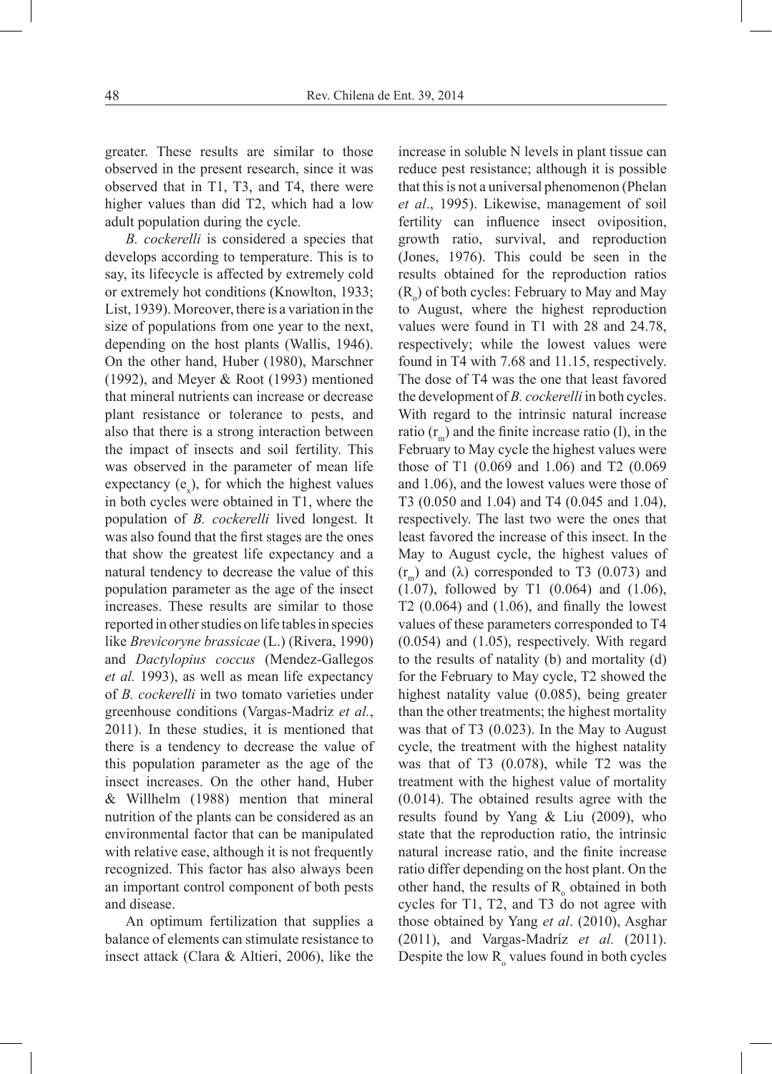greater. These results are similar to those observed in the present research, since it was observed that in T1, T3, and T4, there were higher values than did T2, which had a low adult population during the cycle.

*B. cockerelli* is considered a species that develops according to temperature. This is to say, its lifecycle is affected by extremely cold or extremely hot conditions (Knowlton, 1933; List, 1939). Moreover, there is a variation in the size of populations from one year to the next, depending on the host plants (Wallis, 1946). On the other hand, Huber (1980), Marschner (1992), and Meyer & Root (1993) mentioned that mineral nutrients can increase or decrease plant resistance or tolerance to pests, and also that there is a strong interaction between the impact of insects and soil fertility. This was observed in the parameter of mean life expectancy  $(e_x)$ , for which the highest values in both cycles were obtained in T1, where the population of *B. cockerelli* lived longest. It was also found that the first stages are the ones that show the greatest life expectancy and a natural tendency to decrease the value of this population parameter as the age of the insect increases. These results are similar to those reported in other studies on life tables in species like *Brevicoryne brassicae* (L.) (Rivera, 1990) and *Dactylopius coccus* (Mendez-Gallegos *et al.* 1993), as well as mean life expectancy of *B. cockerelli* in two tomato varieties under greenhouse conditions (Vargas-Madríz *et al.*, 2011). In these studies, it is mentioned that there is a tendency to decrease the value of this population parameter as the age of the insect increases. On the other hand, Huber & Willhelm (1988) mention that mineral nutrition of the plants can be considered as an environmental factor that can be manipulated with relative ease, although it is not frequently recognized. This factor has also always been an important control component of both pests and disease.

An optimum fertilization that supplies a balance of elements can stimulate resistance to insect attack (Clara & Altieri, 2006), like the

increase in soluble N levels in plant tissue can reduce pest resistance; although it is possible that this is not a universal phenomenon (Phelan *et al*., 1995). Likewise, management of soil fertility can influence insect oviposition, growth ratio, survival, and reproduction (Jones, 1976). This could be seen in the results obtained for the reproduction ratios  $(R_0)$  of both cycles: February to May and May to August, where the highest reproduction values were found in T1 with 28 and 24.78, respectively; while the lowest values were found in T4 with 7.68 and 11.15, respectively. The dose of T4 was the one that least favored the development of *B. cockerelli* in both cycles. With regard to the intrinsic natural increase ratio  $(r_m)$  and the finite increase ratio (1), in the February to May cycle the highest values were those of T1 (0.069 and 1.06) and T2 (0.069 and 1.06), and the lowest values were those of T3 (0.050 and 1.04) and T4 (0.045 and 1.04), respectively. The last two were the ones that least favored the increase of this insect. In the May to August cycle, the highest values of  $(r_m)$  and  $(\lambda)$  corresponded to T3 (0.073) and (1.07), followed by T1 (0.064) and (1.06), T2  $(0.064)$  and  $(1.06)$ , and finally the lowest values of these parameters corresponded to T4 (0.054) and (1.05), respectively. With regard to the results of natality (b) and mortality (d) for the February to May cycle, T2 showed the highest natality value (0.085), being greater than the other treatments; the highest mortality was that of T3 (0.023). In the May to August cycle, the treatment with the highest natality was that of T3 (0.078), while T2 was the treatment with the highest value of mortality (0.014). The obtained results agree with the results found by Yang & Liu (2009), who state that the reproduction ratio, the intrinsic natural increase ratio, and the finite increase ratio differ depending on the host plant. On the other hand, the results of  $R_{o}$  obtained in both cycles for T1, T2, and T3 do not agree with those obtained by Yang *et al*. (2010), Asghar (2011), and Vargas-Madríz *et al.* (2011). Despite the low  $R_0$  values found in both cycles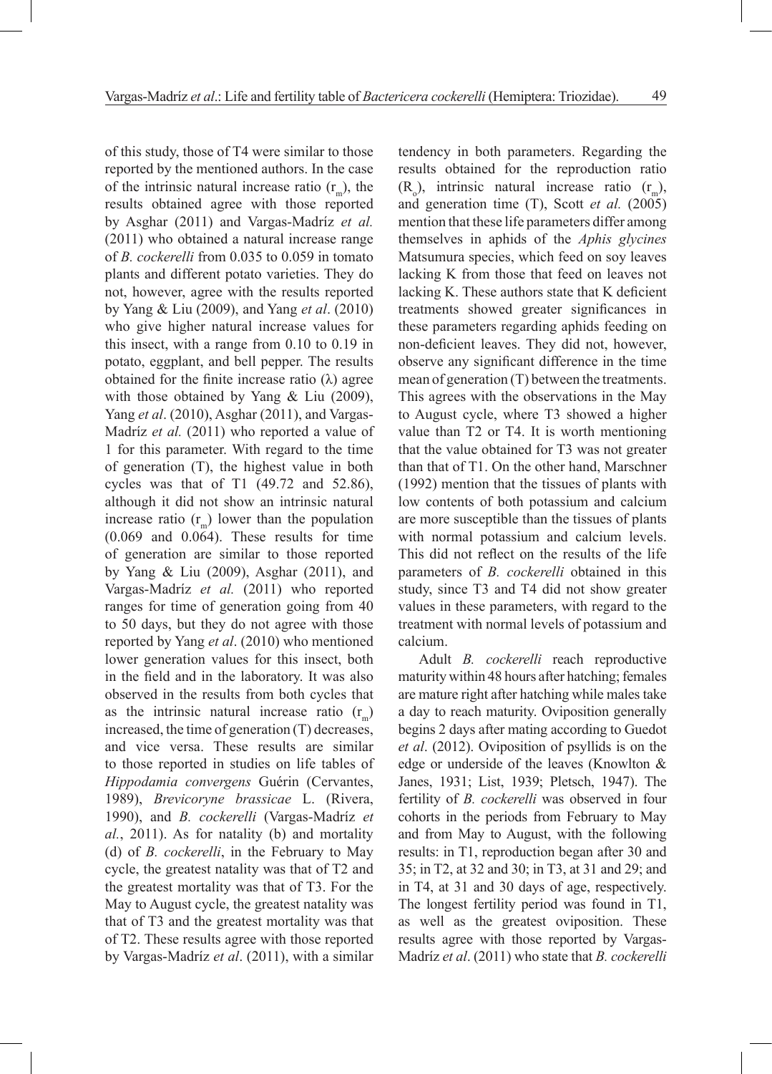of this study, those of T4 were similar to those reported by the mentioned authors. In the case of the intrinsic natural increase ratio  $(r<sub>m</sub>)$ , the results obtained agree with those reported by Asghar (2011) and Vargas-Madríz *et al.* (2011) who obtained a natural increase range of *B. cockerelli* from 0.035 to 0.059 in tomato plants and different potato varieties. They do not, however, agree with the results reported by Yang & Liu (2009), and Yang *et al*. (2010) who give higher natural increase values for this insect, with a range from 0.10 to 0.19 in potato, eggplant, and bell pepper. The results obtained for the finite increase ratio (λ) agree with those obtained by Yang & Liu (2009), Yang *et al*. (2010), Asghar (2011), and Vargas-Madríz *et al.* (2011) who reported a value of 1 for this parameter. With regard to the time of generation (T), the highest value in both cycles was that of T1 (49.72 and 52.86), although it did not show an intrinsic natural increase ratio  $(r<sub>m</sub>)$  lower than the population (0.069 and 0.064). These results for time of generation are similar to those reported by Yang & Liu (2009), Asghar (2011), and Vargas-Madríz *et al.* (2011) who reported ranges for time of generation going from 40 to 50 days, but they do not agree with those reported by Yang *et al*. (2010) who mentioned lower generation values for this insect, both in the field and in the laboratory. It was also observed in the results from both cycles that as the intrinsic natural increase ratio  $(r_m)$ increased, the time of generation (T) decreases, and vice versa. These results are similar to those reported in studies on life tables of *Hippodamia convergens* Guérin (Cervantes, 1989), *Brevicoryne brassicae* L. (Rivera, 1990), and *B. cockerelli* (Vargas-Madríz *et al.*, 2011). As for natality (b) and mortality (d) of *B. cockerelli*, in the February to May cycle, the greatest natality was that of T2 and the greatest mortality was that of T3. For the May to August cycle, the greatest natality was that of T3 and the greatest mortality was that of T2. These results agree with those reported by Vargas-Madríz *et al*. (2011), with a similar tendency in both parameters. Regarding the results obtained for the reproduction ratio  $(R_0)$ , intrinsic natural increase ratio  $(r_m)$ , and generation time (T), Scott *et al.* (2005) mention that these life parameters differ among themselves in aphids of the *Aphis glycines*  Matsumura species, which feed on soy leaves lacking K from those that feed on leaves not lacking K. These authors state that K deficient treatments showed greater significances in these parameters regarding aphids feeding on non-deficient leaves. They did not, however, observe any significant difference in the time mean of generation (T) between the treatments. This agrees with the observations in the May to August cycle, where T3 showed a higher value than T2 or T4. It is worth mentioning that the value obtained for T3 was not greater than that of T1. On the other hand, Marschner (1992) mention that the tissues of plants with low contents of both potassium and calcium are more susceptible than the tissues of plants with normal potassium and calcium levels. This did not reflect on the results of the life parameters of *B. cockerelli* obtained in this study, since T3 and T4 did not show greater values in these parameters, with regard to the treatment with normal levels of potassium and calcium.

Adult *B. cockerelli* reach reproductive maturity within 48 hours after hatching; females are mature right after hatching while males take a day to reach maturity. Oviposition generally begins 2 days after mating according to Guedot *et al*. (2012). Oviposition of psyllids is on the edge or underside of the leaves (Knowlton & Janes, 1931; List, 1939; Pletsch, 1947). The fertility of *B. cockerelli* was observed in four cohorts in the periods from February to May and from May to August, with the following results: in T1, reproduction began after 30 and 35; in T2, at 32 and 30; in T3, at 31 and 29; and in T4, at 31 and 30 days of age, respectively. The longest fertility period was found in T1, as well as the greatest oviposition. These results agree with those reported by Vargas-Madríz *et al*. (2011) who state that *B. cockerelli*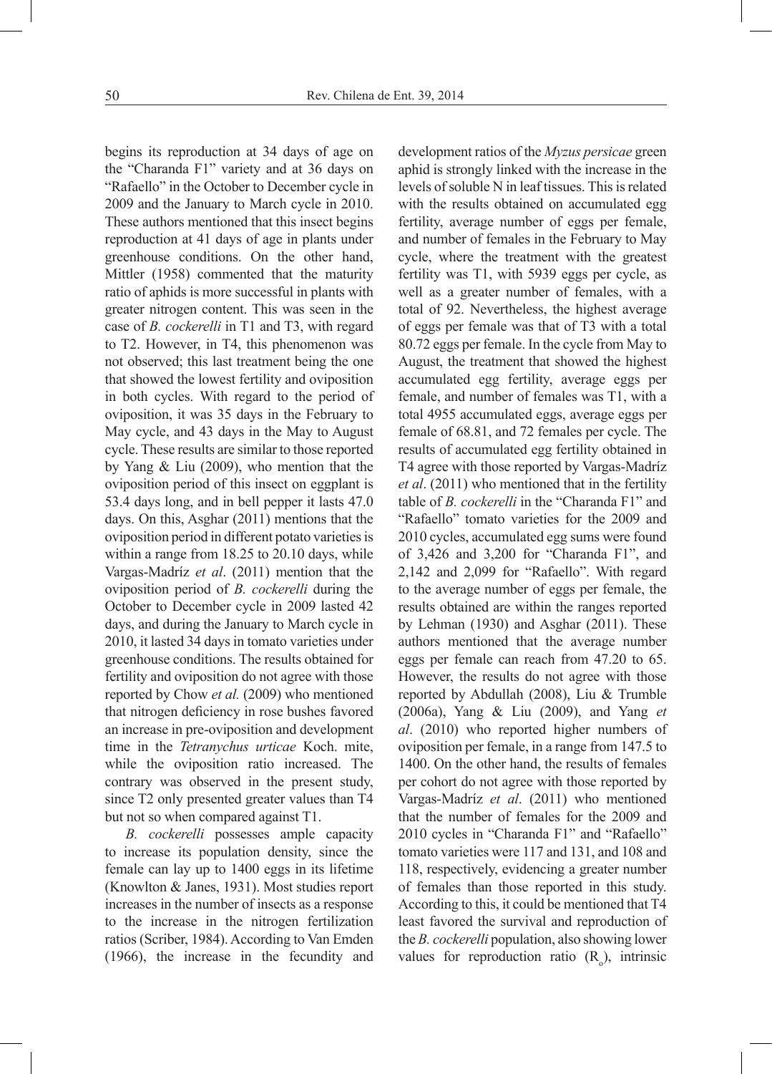begins its reproduction at 34 days of age on the "Charanda F1" variety and at 36 days on "Rafaello" in the October to December cycle in 2009 and the January to March cycle in 2010. These authors mentioned that this insect begins reproduction at 41 days of age in plants under greenhouse conditions. On the other hand, Mittler (1958) commented that the maturity ratio of aphids is more successful in plants with greater nitrogen content. This was seen in the case of *B. cockerelli* in T1 and T3, with regard to T2. However, in T4, this phenomenon was not observed; this last treatment being the one that showed the lowest fertility and oviposition in both cycles. With regard to the period of oviposition, it was 35 days in the February to May cycle, and 43 days in the May to August cycle. These results are similar to those reported by Yang & Liu (2009), who mention that the oviposition period of this insect on eggplant is 53.4 days long, and in bell pepper it lasts 47.0 days. On this, Asghar (2011) mentions that the oviposition period in different potato varieties is within a range from 18.25 to 20.10 days, while Vargas-Madríz *et al*. (2011) mention that the oviposition period of *B. cockerelli* during the October to December cycle in 2009 lasted 42 days, and during the January to March cycle in 2010, it lasted 34 days in tomato varieties under greenhouse conditions. The results obtained for fertility and oviposition do not agree with those reported by Chow *et al.* (2009) who mentioned that nitrogen deficiency in rose bushes favored an increase in pre-oviposition and development time in the *Tetranychus urticae* Koch. mite, while the oviposition ratio increased. The contrary was observed in the present study, since T2 only presented greater values than T4 but not so when compared against T1.

*B. cockerelli* possesses ample capacity to increase its population density, since the female can lay up to 1400 eggs in its lifetime (Knowlton & Janes, 1931). Most studies report increases in the number of insects as a response to the increase in the nitrogen fertilization ratios (Scriber, 1984). According to Van Emden (1966), the increase in the fecundity and development ratios of the *Myzus persicae* green aphid is strongly linked with the increase in the levels of soluble N in leaf tissues. This is related with the results obtained on accumulated egg fertility, average number of eggs per female, and number of females in the February to May cycle, where the treatment with the greatest fertility was T1, with 5939 eggs per cycle, as well as a greater number of females, with a total of 92. Nevertheless, the highest average of eggs per female was that of T3 with a total 80.72 eggs per female. In the cycle from May to August, the treatment that showed the highest accumulated egg fertility, average eggs per female, and number of females was T1, with a total 4955 accumulated eggs, average eggs per female of 68.81, and 72 females per cycle. The results of accumulated egg fertility obtained in T4 agree with those reported by Vargas-Madríz *et al*. (2011) who mentioned that in the fertility table of *B. cockerelli* in the "Charanda F1" and "Rafaello" tomato varieties for the 2009 and 2010 cycles, accumulated egg sums were found of 3,426 and 3,200 for "Charanda F1", and 2,142 and 2,099 for "Rafaello". With regard to the average number of eggs per female, the results obtained are within the ranges reported by Lehman (1930) and Asghar (2011). These authors mentioned that the average number eggs per female can reach from 47.20 to 65. However, the results do not agree with those reported by Abdullah (2008), Liu & Trumble (2006a), Yang & Liu (2009), and Yang *et al*. (2010) who reported higher numbers of oviposition per female, in a range from 147.5 to 1400. On the other hand, the results of females per cohort do not agree with those reported by Vargas-Madríz *et al*. (2011) who mentioned that the number of females for the 2009 and 2010 cycles in "Charanda F1" and "Rafaello" tomato varieties were 117 and 131, and 108 and 118, respectively, evidencing a greater number of females than those reported in this study. According to this, it could be mentioned that T4 least favored the survival and reproduction of the *B. cockerelli* population, also showing lower values for reproduction ratio  $(R_0)$ , intrinsic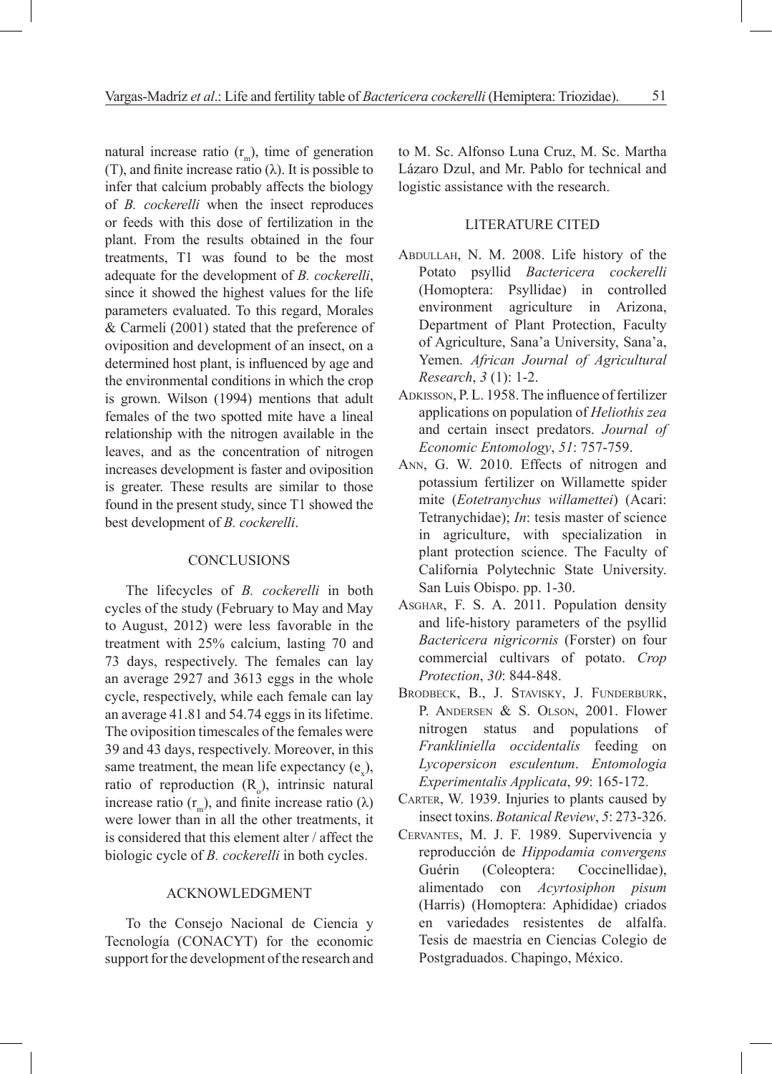natural increase ratio  $(r_m)$ , time of generation (T), and finite increase ratio  $(\lambda)$ . It is possible to infer that calcium probably affects the biology of *B. cockerelli* when the insect reproduces or feeds with this dose of fertilization in the plant. From the results obtained in the four treatments, T1 was found to be the most adequate for the development of *B. cockerelli*, since it showed the highest values for the life parameters evaluated. To this regard, Morales & Carmeli (2001) stated that the preference of oviposition and development of an insect, on a determined host plant, is influenced by age and the environmental conditions in which the crop is grown. Wilson (1994) mentions that adult females of the two spotted mite have a lineal relationship with the nitrogen available in the leaves, and as the concentration of nitrogen increases development is faster and oviposition is greater. These results are similar to those found in the present study, since T1 showed the best development of *B. cockerelli*.

### **CONCLUSIONS**

The lifecycles of *B. cockerelli* in both cycles of the study (February to May and May to August, 2012) were less favorable in the treatment with 25% calcium, lasting 70 and 73 days, respectively. The females can lay an average 2927 and 3613 eggs in the whole cycle, respectively, while each female can lay an average 41.81 and 54.74 eggs in its lifetime. The oviposition timescales of the females were 39 and 43 days, respectively. Moreover, in this same treatment, the mean life expectancy  $(e_x)$ , ratio of reproduction  $(R_0)$ , intrinsic natural increase ratio (r<sub>m</sub>), and finite increase ratio (λ) were lower than in all the other treatments, it is considered that this element alter / affect the biologic cycle of *B. cockerelli* in both cycles.

## ACKNOWLEDGMENT

To the Consejo Nacional de Ciencia y Tecnología (CONACYT) for the economic support for the development of the research and to M. Sc. Alfonso Luna Cruz, M. Sc. Martha Lázaro Dzul, and Mr. Pablo for technical and logistic assistance with the research.

#### LITERATURE CITED

- Abdullah, N. M. 2008. Life history of the Potato psyllid *Bactericera cockerelli* (Homoptera: Psyllidae) in controlled environment agriculture in Arizona, Department of Plant Protection, Faculty of Agriculture, Sana'a University, Sana'a, Yemen. *African Journal of Agricultural Research*, *3* (1): 1-2.
- ADKISSON, P. L. 1958. The influence of fertilizer applications on population of *Heliothis zea*  and certain insect predators. *Journal of Economic Entomology*, *51*: 757-759.
- Ann, G. W. 2010. Effects of nitrogen and potassium fertilizer on Willamette spider mite (*Eotetranychus willamettei*) (Acari: Tetranychidae); *In*: tesis master of science in agriculture, with specialization in plant protection science. The Faculty of California Polytechnic State University. San Luis Obispo. pp. 1-30.
- Asghar, F. S. A. 2011. Population density and life-history parameters of the psyllid *Bactericera nigricornis* (Forster) on four commercial cultivars of potato. *Crop Protection*, *30*: 844-848.
- Brodbeck, B., J. Stavisky, J. Funderburk, P. ANDERSEN & S. OLSON, 2001. Flower nitrogen status and populations of *Frankliniella occidentalis* feeding on *Lycopersicon esculentum*. *Entomologia Experimentalis Applicata*, *99*: 165-172.
- CARTER, W. 1939. Injuries to plants caused by insect toxins. *Botanical Review*, *5*: 273-326.
- Cervantes, M. J. F. 1989. Supervivencia y reproducción de *Hippodamia convergens*  Guérin (Coleoptera: Coccinellidae), alimentado con *Acyrtosiphon pisum*  (Harris) (Homoptera: Aphididae) criados en variedades resistentes de alfalfa. Tesis de maestría en Ciencias Colegio de Postgraduados. Chapingo, México.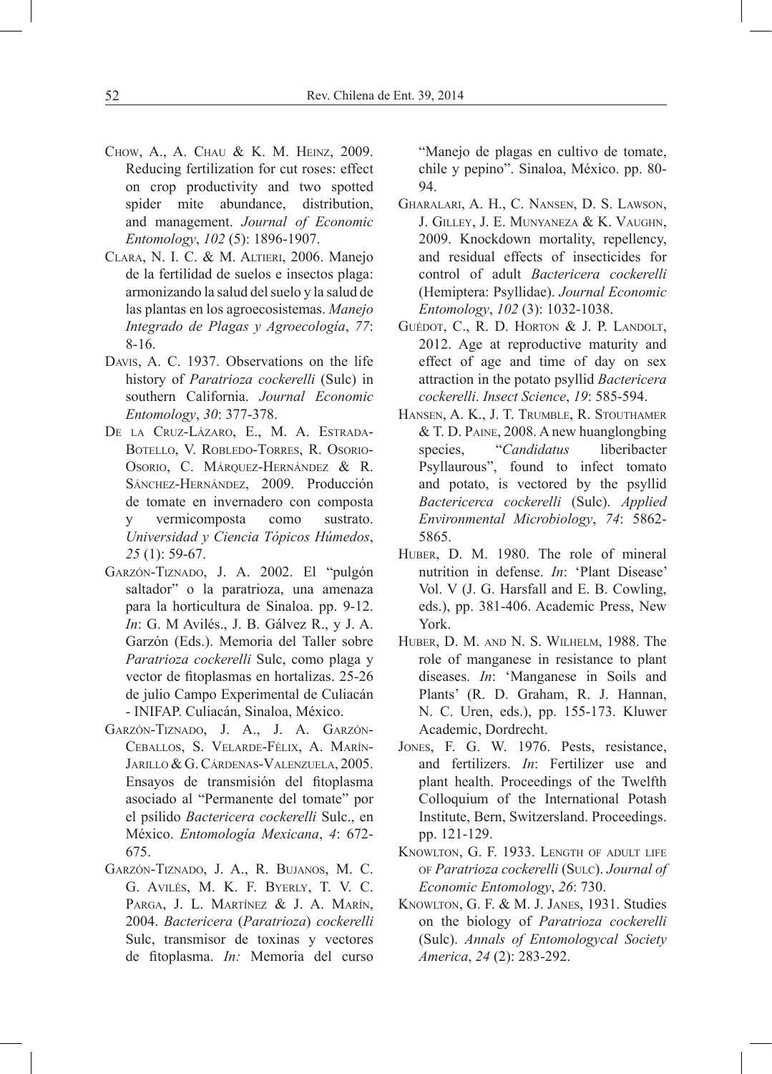- Chow, A., A. Chau & K. M. Heinz, 2009. Reducing fertilization for cut roses: effect on crop productivity and two spotted spider mite abundance, distribution, and management. *Journal of Economic Entomology*, *102* (5): 1896-1907.
- Clara, N. I. C. & M. Altieri, 2006. Manejo de la fertilidad de suelos e insectos plaga: armonizando la salud del suelo y la salud de las plantas en los agroecosistemas. *Manejo Integrado de Plagas y Agroecología*, *77*: 8-16.
- Davis, A. C. 1937. Observations on the life history of *Paratrioza cockerelli* (Sulc) in southern California. *Journal Economic Entomology*, *30*: 377-378.
- De la Cruz-Lázaro, E., M. A. Estrada-Botello, V. Robledo-Torres, R. Osorio-Osorio, C. Márquez-Hernández & R. Sánchez-Hernández, 2009. Producción de tomate en invernadero con composta y vermicomposta como sustrato. *Universidad y Ciencia Tópicos Húmedos*, *25* (1): 59-67.
- Garzón-Tiznado, J. A. 2002. El "pulgón saltador" o la paratrioza, una amenaza para la horticultura de Sinaloa. pp. 9-12. *In*: G. M Avilés., J. B. Gálvez R., y J. A. Garzón (Eds.). Memoria del Taller sobre *Paratrioza cockerelli* Sulc, como plaga y vector de fitoplasmas en hortalizas. 25-26 de julio Campo Experimental de Culiacán - INIFAP. Culiacán, Sinaloa, México.
- Garzón-Tiznado, J. A., J. A. Garzón-Ceballos, S. Velarde-Félix, A. Marín-Jarillo & G. Cárdenas-Valenzuela, 2005. Ensayos de transmisión del fitoplasma asociado al "Permanente del tomate" por el psílido *Bactericera cockerelli* Sulc., en México. *Entomología Mexicana*, *4*: 672- 675.
- Garzón-Tiznado, J. A., R. Bujanos, M. C. G. Avilés, M. K. F. Byerly, T. V. C. PARGA, J. L. MARTÍNEZ & J. A. MARÍN, 2004. *Bactericera* (*Paratrioza*) *cockerelli*  Sulc, transmisor de toxinas y vectores de fitoplasma. *In:* Memoria del curso

"Manejo de plagas en cultivo de tomate, chile y pepino". Sinaloa, México. pp. 80- 94.

- Gharalari, A. H., C. Nansen, D. S. Lawson, J. Gilley, J. E. Munyaneza & K. Vaughn, 2009. Knockdown mortality, repellency, and residual effects of insecticides for control of adult *Bactericera cockerelli*  (Hemiptera: Psyllidae). *Journal Economic Entomology*, *102* (3): 1032-1038.
- GUÉDOT, C., R. D. HORTON & J. P. LANDOLT, 2012. Age at reproductive maturity and effect of age and time of day on sex attraction in the potato psyllid *Bactericera cockerelli*. *Insect Science*, *19*: 585-594.
- Hansen, A. K., J. T. Trumble, R. Stouthamer & T. D. Paine, 2008. A new huanglongbing species, "*Candidatus* liberibacter Psyllaurous", found to infect tomato and potato, is vectored by the psyllid *Bactericerca cockerelli* (Sulc). *Applied Environmental Microbiology*, *74*: 5862- 5865.
- Huber, D. M. 1980. The role of mineral nutrition in defense. *In*: 'Plant Disease' Vol. V (J. G. Harsfall and E. B. Cowling, eds.), pp. 381-406. Academic Press, New York.
- Huber, D. M. and N. S. Wilhelm, 1988. The role of manganese in resistance to plant diseases. *In*: 'Manganese in Soils and Plants' (R. D. Graham, R. J. Hannan, N. C. Uren, eds.), pp. 155-173. Kluwer Academic, Dordrecht.
- Jones, F. G. W. 1976. Pests, resistance, and fertilizers. *In*: Fertilizer use and plant health. Proceedings of the Twelfth Colloquium of the International Potash Institute, Bern, Switzersland. Proceedings. pp. 121-129.
- Knowlton, G. F. 1933. Length of adult life of *Paratrioza cockerelli* (Sulc). *Journal of Economic Entomology*, *26*: 730.
- Knowlton, G. F. & M. J. Janes, 1931. Studies on the biology of *Paratrioza cockerelli*  (Sulc). *Annals of Entomologycal Society America*, *24* (2): 283-292.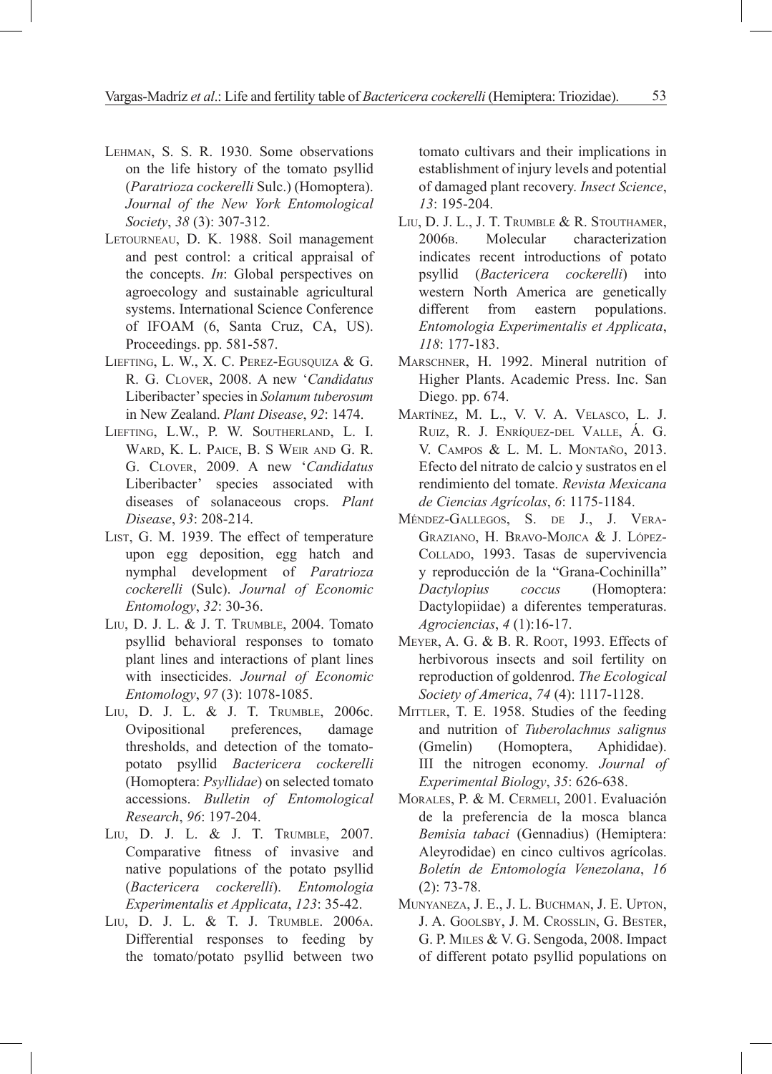- Lehman, S. S. R. 1930. Some observations on the life history of the tomato psyllid (*Paratrioza cockerelli* Sulc.) (Homoptera). *Journal of the New York Entomological Society*, *38* (3): 307-312.
- Letourneau, D. K. 1988. Soil management and pest control: a critical appraisal of the concepts. *In*: Global perspectives on agroecology and sustainable agricultural systems. International Science Conference of IFOAM (6, Santa Cruz, CA, US). Proceedings. pp. 581-587.
- Liefting, L. W., X. C. Perez-Egusquiza & G. R. G. Clover, 2008. A new '*Candidatus*  Liberibacter' species in *Solanum tuberosum*  in New Zealand. *Plant Disease*, *92*: 1474.
- Liefting, L.W., P. W. Southerland, L. I. Ward, K. L. Paice, B. S Weir and G. R. G. Clover, 2009. A new '*Candidatus*  Liberibacter' species associated with diseases of solanaceous crops. *Plant Disease*, *93*: 208-214.
- LIST, G. M. 1939. The effect of temperature upon egg deposition, egg hatch and nymphal development of *Paratrioza cockerelli* (Sulc). *Journal of Economic Entomology*, *32*: 30-36.
- Liu, D. J. L. & J. T. Trumble, 2004. Tomato psyllid behavioral responses to tomato plant lines and interactions of plant lines with insecticides. *Journal of Economic Entomology*, *97* (3): 1078-1085.
- Liu, D. J. L. & J. T. Trumble, 2006c. Ovipositional preferences, damage thresholds, and detection of the tomatopotato psyllid *Bactericera cockerelli*  (Homoptera: *Psyllidae*) on selected tomato accessions. *Bulletin of Entomological Research*, *96*: 197-204.
- Liu, D. J. L. & J. T. Trumble, 2007. Comparative fitness of invasive and native populations of the potato psyllid (*Bactericera cockerelli*). *Entomologia Experimentalis et Applicata*, *123*: 35-42.
- Liu, D. J. L. & T. J. Trumble. 2006a. Differential responses to feeding by the tomato/potato psyllid between two

tomato cultivars and their implications in establishment of injury levels and potential of damaged plant recovery. *Insect Science*, *13*: 195-204.

- Liu, D. J. L., J. T. Trumble & R. Stouthamer, 2006b. Molecular characterization indicates recent introductions of potato psyllid (*Bactericera cockerelli*) into western North America are genetically different from eastern populations. *Entomologia Experimentalis et Applicata*, *118*: 177-183.
- Marschner, H. 1992. Mineral nutrition of Higher Plants. Academic Press. Inc. San Diego. pp. 674.
- Martínez, M. L., V. V. A. Velasco, L. J. Ruiz, R. J. Enríquez-del Valle, Á. G. V. Campos & L. M. L. Montaño, 2013. Efecto del nitrato de calcio y sustratos en el rendimiento del tomate. *Revista Mexicana de Ciencias Agrícolas*, *6*: 1175-1184.
- Méndez-Gallegos, S. de J., J. Vera-Graziano, H. Bravo-Mojica & J. López-Collado, 1993. Tasas de supervivencia y reproducción de la "Grana-Cochinilla" *Dactylopius coccus* (Homoptera: Dactylopiidae) a diferentes temperaturas. *Agrociencias*, *4* (1):16-17.
- Meyer, A. G. & B. R. Root, 1993. Effects of herbivorous insects and soil fertility on reproduction of goldenrod. *The Ecological Society of America*, *74* (4): 1117-1128.
- MITTLER, T. E. 1958. Studies of the feeding and nutrition of *Tuberolachnus salignus*  (Gmelin) (Homoptera, Aphididae). III the nitrogen economy. *Journal of Experimental Biology*, *35*: 626-638.
- Morales, P. & M. Cermeli, 2001. Evaluación de la preferencia de la mosca blanca *Bemisia tabaci* (Gennadius) (Hemiptera: Aleyrodidae) en cinco cultivos agrícolas. *Boletín de Entomología Venezolana*, *16* (2): 73-78.
- Munyaneza, J. E., J. L. Buchman, J. E. Upton, J. A. Goolsby, J. M. Crosslin, G. Bester, G. P. Miles & V. G. Sengoda, 2008. Impact of different potato psyllid populations on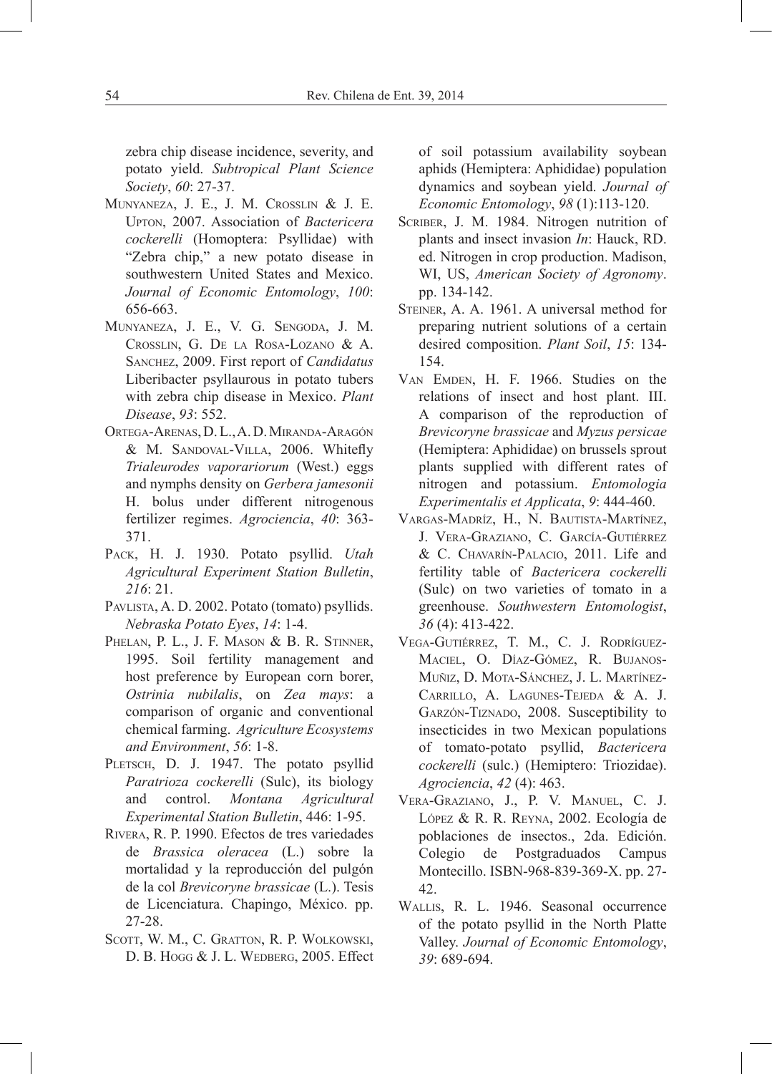zebra chip disease incidence, severity, and potato yield. *Subtropical Plant Science Society*, *60*: 27-37.

- Munyaneza, J. E., J. M. Crosslin & J. E. Upton, 2007. Association of *Bactericera cockerelli* (Homoptera: Psyllidae) with "Zebra chip," a new potato disease in southwestern United States and Mexico. *Journal of Economic Entomology*, *100*: 656-663.
- Munyaneza, J. E., V. G. Sengoda, J. M. Crosslin, G. De la Rosa-Lozano & A. Sanchez, 2009. First report of *Candidatus*  Liberibacter psyllaurous in potato tubers with zebra chip disease in Mexico. *Plant Disease*, *93*: 552.
- Ortega-Arenas, D. L., A. D. Miranda-Aragón & M. Sandoval-Villa, 2006. Whitefly *Trialeurodes vaporariorum* (West.) eggs and nymphs density on *Gerbera jamesonii*  H. bolus under different nitrogenous fertilizer regimes. *Agrociencia*, *40*: 363- 371.
- Pack, H. J. 1930. Potato psyllid. *Utah Agricultural Experiment Station Bulletin*, *216*: 21.
- Pavlista, A. D. 2002. Potato (tomato) psyllids. *Nebraska Potato Eyes*, *14*: 1-4.
- PHELAN, P. L., J. F. MASON & B. R. STINNER, 1995. Soil fertility management and host preference by European corn borer, *Ostrinia nubilalis*, on *Zea mays*: a comparison of organic and conventional chemical farming. *Agriculture Ecosystems and Environment*, *56*: 1-8.
- PLETSCH, D. J. 1947. The potato psyllid *Paratrioza cockerelli* (Sulc), its biology and control. *Montana Agricultural Experimental Station Bulletin*, 446: 1-95.
- Rivera, R. P. 1990. Efectos de tres variedades de *Brassica oleracea* (L.) sobre la mortalidad y la reproducción del pulgón de la col *Brevicoryne brassicae* (L.). Tesis de Licenciatura. Chapingo, México. pp. 27-28.
- SCOTT, W. M., C. GRATTON, R. P. WOLKOWSKI, D. B. Hogg & J. L. Wedberg, 2005. Effect

of soil potassium availability soybean aphids (Hemiptera: Aphididae) population dynamics and soybean yield. *Journal of Economic Entomology*, *98* (1):113-120.

- Scriber, J. M. 1984. Nitrogen nutrition of plants and insect invasion *In*: Hauck, RD. ed. Nitrogen in crop production. Madison, WI, US, *American Society of Agronomy*. pp. 134-142.
- STEINER, A. A. 1961. A universal method for preparing nutrient solutions of a certain desired composition. *Plant Soil*, *15*: 134- 154.
- VAN EMDEN, H. F. 1966. Studies on the relations of insect and host plant. III. A comparison of the reproduction of *Brevicoryne brassicae* and *Myzus persicae*  (Hemiptera: Aphididae) on brussels sprout plants supplied with different rates of nitrogen and potassium. *Entomologia Experimentalis et Applicata*, *9*: 444-460.
- Vargas-Madríz, H., N. Bautista-Martínez, J. Vera-Graziano, C. García-Gutiérrez & C. Chavarín-Palacio, 2011. Life and fertility table of *Bactericera cockerelli*  (Sulc) on two varieties of tomato in a greenhouse. *Southwestern Entomologist*, *36* (4): 413-422.
- Vega-Gutiérrez, T. M., C. J. Rodríguez-Maciel, O. Díaz-Gómez, R. Bujanos-Muñiz, D. Mota-Sánchez, J. L. Martínez-Carrillo, A. Lagunes-Tejeda & A. J. Garzón-Tiznado, 2008. Susceptibility to insecticides in two Mexican populations of tomato-potato psyllid, *Bactericera cockerelli* (sulc.) (Hemiptero: Triozidae). *Agrociencia*, *42* (4): 463.
- Vera-Graziano, J., P. V. Manuel, C. J. López & R. R. Reyna, 2002. Ecología de poblaciones de insectos., 2da. Edición. Colegio de Postgraduados Campus Montecillo. ISBN-968-839-369-X. pp. 27- 42.
- Wallis, R. L. 1946. Seasonal occurrence of the potato psyllid in the North Platte Valley. *Journal of Economic Entomology*, *39*: 689-694.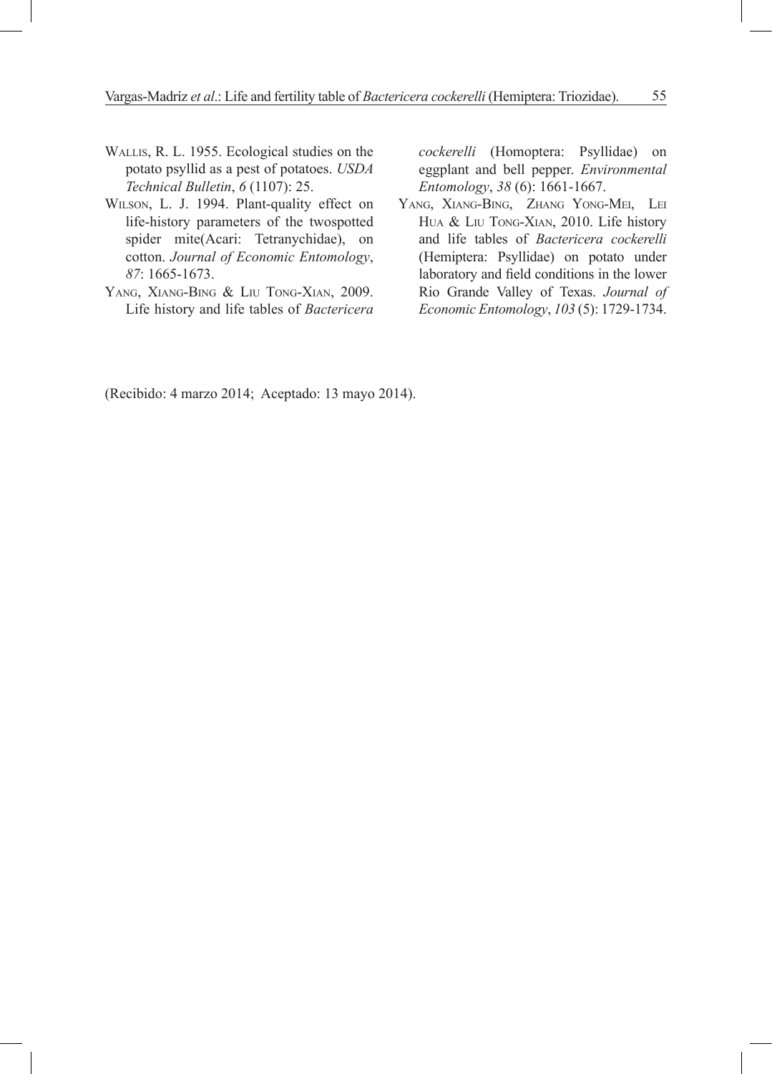- Wallis, R. L. 1955. Ecological studies on the potato psyllid as a pest of potatoes. *USDA Technical Bulletin*, *6* (1107): 25.
- Wilson, L. J. 1994. Plant-quality effect on life-history parameters of the twospotted spider mite(Acari: Tetranychidae), on cotton. *Journal of Economic Entomology*, *87*: 1665-1673.
- YANG, XIANG-BING & LIU TONG-XIAN, 2009. Life history and life tables of *Bactericera*

*cockerelli* (Homoptera: Psyllidae) on eggplant and bell pepper. *Environmental Entomology*, *38* (6): 1661-1667.

Yang, Xiang-Bing, Zhang Yong-Mei, Lei Hua & Liu Tong-Xian, 2010. Life history and life tables of *Bactericera cockerelli*  (Hemiptera: Psyllidae) on potato under laboratory and field conditions in the lower Rio Grande Valley of Texas. *Journal of Economic Entomology*, *103* (5): 1729-1734.

(Recibido: 4 marzo 2014; Aceptado: 13 mayo 2014).